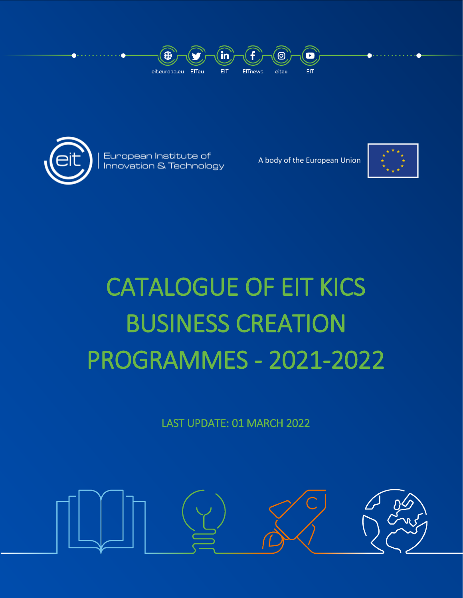



European Institute of Innovation & Technology

A body of the European Union



# CATALOGUE OF EIT KICS BUSINESS CREATION PROGRAMMES - 2021-2022

LAST UPDATE: 01 MARCH 2022

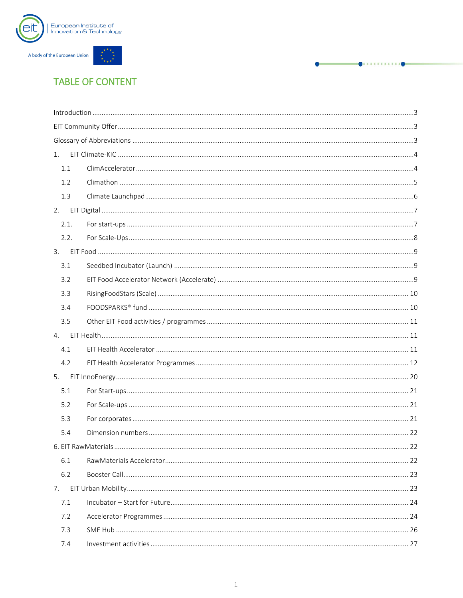



## **TABLE OF CONTENT**

|      | $\label{eq:1} \mbox{Introduction} \,\, \ldots \,\, \ldots \,\, \ldots \,\, \ldots \,\, \ldots \,\, \ldots \,\, \ldots \,\, \ldots \,\, \ldots \,\, \ldots \,\, \ldots \,\, \ldots \,\, \ldots \,\, \ldots \,\, \ldots \,\, \ldots \,\, \ldots \,\, \ldots \,\, \ldots \,\, \ldots \,\, \ldots \,\, \ldots \,\, \ldots \,\, \ldots \,\, \ldots \,\, \ldots \,\, \ldots \,\, \ldots \,\, \ldots \,\, \ldots \,\, \ldots \,\, \ldots \,\, \ldots \,\, \ldots \,\,$ |  |
|------|-----------------------------------------------------------------------------------------------------------------------------------------------------------------------------------------------------------------------------------------------------------------------------------------------------------------------------------------------------------------------------------------------------------------------------------------------------------------|--|
|      |                                                                                                                                                                                                                                                                                                                                                                                                                                                                 |  |
|      |                                                                                                                                                                                                                                                                                                                                                                                                                                                                 |  |
| 1.   |                                                                                                                                                                                                                                                                                                                                                                                                                                                                 |  |
| 1.1  |                                                                                                                                                                                                                                                                                                                                                                                                                                                                 |  |
| 1.2  |                                                                                                                                                                                                                                                                                                                                                                                                                                                                 |  |
| 1.3  |                                                                                                                                                                                                                                                                                                                                                                                                                                                                 |  |
| 2.   |                                                                                                                                                                                                                                                                                                                                                                                                                                                                 |  |
| 2.1. |                                                                                                                                                                                                                                                                                                                                                                                                                                                                 |  |
| 2.2. |                                                                                                                                                                                                                                                                                                                                                                                                                                                                 |  |
| 3.   |                                                                                                                                                                                                                                                                                                                                                                                                                                                                 |  |
| 3.1  |                                                                                                                                                                                                                                                                                                                                                                                                                                                                 |  |
| 3.2  |                                                                                                                                                                                                                                                                                                                                                                                                                                                                 |  |
| 3.3  |                                                                                                                                                                                                                                                                                                                                                                                                                                                                 |  |
| 3.4  |                                                                                                                                                                                                                                                                                                                                                                                                                                                                 |  |
| 3.5  |                                                                                                                                                                                                                                                                                                                                                                                                                                                                 |  |
|      |                                                                                                                                                                                                                                                                                                                                                                                                                                                                 |  |
| 4.   |                                                                                                                                                                                                                                                                                                                                                                                                                                                                 |  |
| 4.1  |                                                                                                                                                                                                                                                                                                                                                                                                                                                                 |  |
| 4.2  |                                                                                                                                                                                                                                                                                                                                                                                                                                                                 |  |
| 5.   |                                                                                                                                                                                                                                                                                                                                                                                                                                                                 |  |
| 5.1  |                                                                                                                                                                                                                                                                                                                                                                                                                                                                 |  |
| 5.2  |                                                                                                                                                                                                                                                                                                                                                                                                                                                                 |  |
| 5.3  |                                                                                                                                                                                                                                                                                                                                                                                                                                                                 |  |
| 5.4  |                                                                                                                                                                                                                                                                                                                                                                                                                                                                 |  |
|      |                                                                                                                                                                                                                                                                                                                                                                                                                                                                 |  |
| 6.1  |                                                                                                                                                                                                                                                                                                                                                                                                                                                                 |  |
| 6.2  |                                                                                                                                                                                                                                                                                                                                                                                                                                                                 |  |
| 7.   |                                                                                                                                                                                                                                                                                                                                                                                                                                                                 |  |
| 7.1  |                                                                                                                                                                                                                                                                                                                                                                                                                                                                 |  |
| 7.2  |                                                                                                                                                                                                                                                                                                                                                                                                                                                                 |  |
| 7.3  |                                                                                                                                                                                                                                                                                                                                                                                                                                                                 |  |

-0. . . . . . . . . . . . 0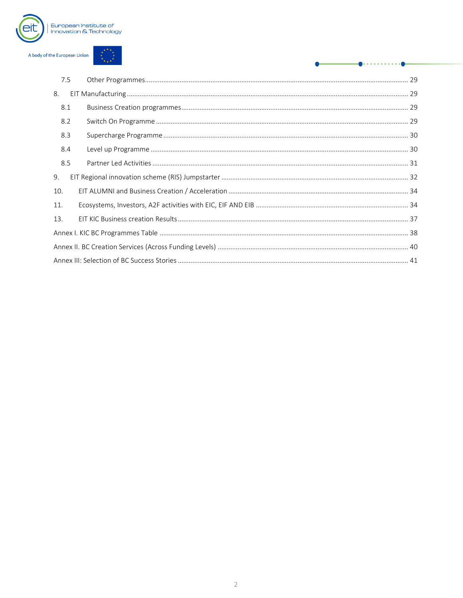

| 7.5 |  |
|-----|--|
| 8.  |  |
| 8.1 |  |
| 8.2 |  |
| 8.3 |  |
| 8.4 |  |
| 8.5 |  |
| 9.  |  |
| 10. |  |
| 11. |  |
| 13. |  |
|     |  |
|     |  |
|     |  |

 $\blacksquare$ 

 $\overline{a}$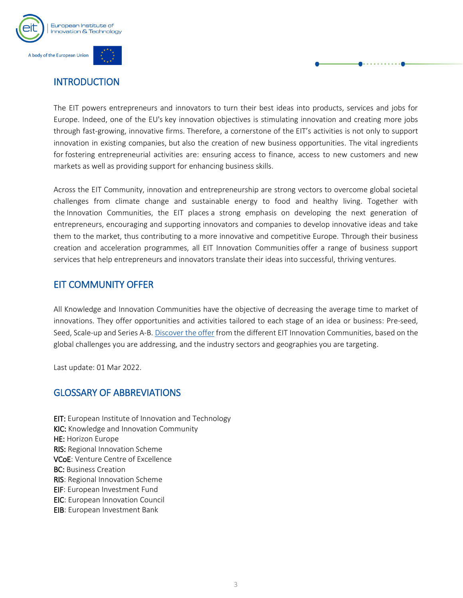

## <span id="page-3-0"></span>**INTRODUCTION**

The EIT powers entrepreneurs and innovators to turn their best ideas into products, services and jobs for Europe. Indeed, one of the EU's key innovation objectives is stimulating innovation and creating more jobs through fast-growing, innovative firms. Therefore, a cornerstone of the EIT's activities is not only to support innovation in existing companies, but also the creation of new business opportunities. The vital ingredients for fostering entrepreneurial activities are: ensuring access to finance, access to new customers and new markets as well as providing support for enhancing business skills.

Across the EIT Community, innovation and entrepreneurship are strong vectors to overcome global societal challenges from climate change and sustainable energy to food and healthy living. Together with the Innovation Communities, the EIT places a strong emphasis on developing the next generation of entrepreneurs, encouraging and supporting innovators and companies to develop innovative ideas and take them to the market, thus contributing to a more innovative and competitive Europe. Through their business creation and acceleration programmes, all EIT Innovation Communities offer a range of business support services that help entrepreneurs and innovators translate their ideas into successful, thriving ventures.

## <span id="page-3-1"></span>EIT COMMUNITY OFFER

All Knowledge and Innovation Communities have the objective of decreasing the average time to market of innovations. They offer opportunities and activities tailored to each stage of an idea or business: Pre-seed, Seed, Scale-up and Series A-B. [Discover the offer](https://eit.europa.eu/our-activities/entrepreneurship) from the different EIT Innovation Communities, based on the global challenges you are addressing, and the industry sectors and geographies you are targeting.

Last update: 01 Mar 2022.

## <span id="page-3-2"></span>GLOSSARY OF ABBREVIATIONS

EIT: European Institute of Innovation and Technology KIC: Knowledge and Innovation Community HE: Horizon Europe RIS: Regional Innovation Scheme VCoE: Venture Centre of Excellence BC: Business Creation RIS: Regional Innovation Scheme EIF: European Investment Fund EIC: European Innovation Council EIB: European Investment Bank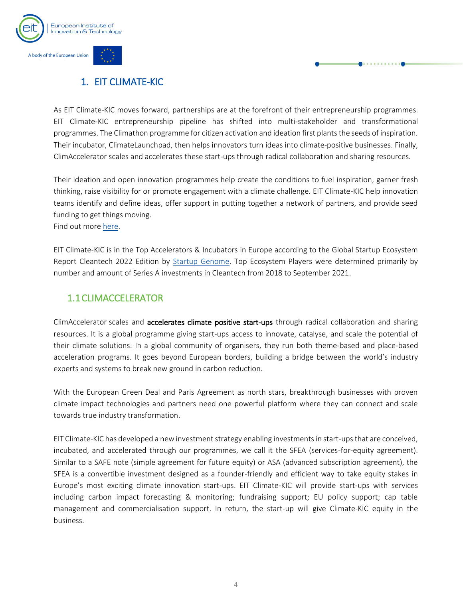

## <span id="page-4-0"></span>1. EIT CLIMATE-KIC

As EIT Climate-KIC moves forward, partnerships are at the forefront of their entrepreneurship programmes. EIT Climate-KIC entrepreneurship pipeline has shifted into multi-stakeholder and transformational programmes. The Climathon programme for citizen activation and ideation first plants the seeds of inspiration. Their incubator, ClimateLaunchpad, then helps innovators turn ideas into climate-positive businesses. Finally, ClimAccelerator scales and accelerates these start-ups through radical collaboration and sharing resources.

Their ideation and open innovation programmes help create the conditions to fuel inspiration, garner fresh thinking, raise visibility for or promote engagement with a climate challenge. EIT Climate-KIC help innovation teams identify and define ideas, offer support in putting together a network of partners, and provide seed funding to get things moving.

Find out more [here.](https://www.climate-kic.org/programmes/entrepreneurship/)

EIT Climate-KIC is in the Top Accelerators & Incubators in Europe according to the Global Startup Ecosystem Report Cleantech 2022 Edition by [Startup Genome.](https://startupgenome.com/report/gser-cleantechedition) Top Ecosystem Players were determined primarily by number and amount of Series A investments in Cleantech from 2018 to September 2021.

## <span id="page-4-1"></span>1.1CLIMACCELERATOR

[ClimAccelerator](https://climaccelerator.climate-kic.org/) scales and accelerates climate positive start-ups through radical collaboration and sharing resources. It is a global programme giving start-ups access to innovate, catalyse, and scale the potential of their climate solutions. In a global community of organisers, they run both theme-based and place-based acceleration programs. It goes beyond European borders, building a bridge between the world's industry experts and systems to break new ground in carbon reduction.

With the European Green Deal and Paris Agreement as north stars, breakthrough businesses with proven climate impact technologies and partners need one powerful platform where they can connect and scale towards true industry transformation.

EIT Climate-KIC has developed a new investment strategy enabling investments in start-ups that are conceived, incubated, and accelerated through our programmes, we call it the SFEA (services-for-equity agreement). Similar to a SAFE note (simple agreement for future equity) or ASA (advanced subscription agreement), the SFEA is a convertible investment designed as a founder-friendly and efficient way to take equity stakes in Europe's most exciting climate innovation start-ups. EIT Climate-KIC will provide start-ups with services including carbon impact forecasting & monitoring; fundraising support; EU policy support; cap table management and commercialisation support. In return, the start-up will give Climate-KIC equity in the business.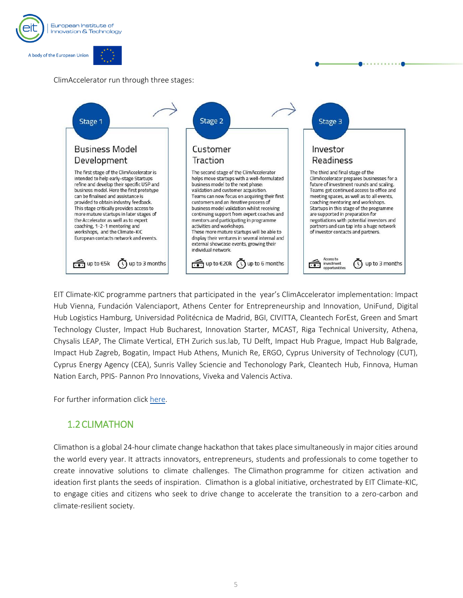

#### ClimAccelerator run through three stages:



EIT Climate-KIC programme partners that participated in the year's ClimAccelerator implementation: Impact Hub Vienna, Fundación Valenciaport, Athens Center for Entrepreneurship and Innovation, UniFund, Digital Hub Logistics Hamburg, Universidad Politécnica de Madrid, BGI, CIVITTA, Cleantech ForEst, Green and Smart Technology Cluster, Impact Hub Bucharest, Innovation Starter, MCAST, Riga Technical University, Athena, Chysalis LEAP, The Climate Vertical, ETH Zurich sus.lab, TU Delft, Impact Hub Prague, Impact Hub Balgrade, Impact Hub Zagreb, Bogatin, Impact Hub Athens, Munich Re, ERGO, Cyprus University of Technology (CUT), Cyprus Energy Agency (CEA), Sunris Valley Sciencie and Techonology Park, Cleantech Hub, Finnova, Human Nation Earch, PPIS- Pannon Pro Innovations, Viveka and Valencis Activa.

For further information click [here.](https://climaccelerator.climate-kic.org/)

## <span id="page-5-0"></span>1.2CLIMATHON

Climathon is a global 24-hour climate change hackathon that takes place simultaneously in major cities around the world every year. It attracts innovators, entrepreneurs, students and professionals to come together to create innovative solutions to climate challenges. The [Climathon](https://climathon.climate-kic.org/) programme for citizen activation and ideation first plants the seeds of inspiration. Climathon is a global initiative, orchestrated by EIT Climate-KIC, to engage cities and citizens who seek to drive change to accelerate the transition to a zero-carbon and climate-resilient society.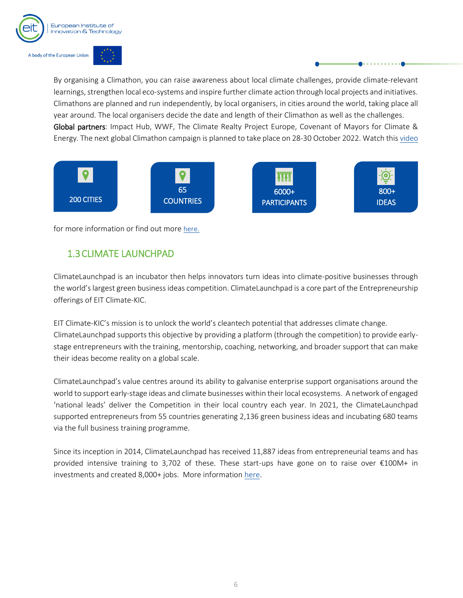

By organising a Climathon, you can raise awareness about local climate challenges, provide climate-relevant learnings, strengthen local eco-systems and inspire further climate action through local projects and initiatives. Climathons are planned and run independently, by local organisers, in cities around the world, taking place all year around. The local organisers decide the date and length of their Climathon as well as the challenges. Global partners: Impact Hub, WWF, The Climate Realty Project Europe, Covenant of Mayors for Climate & Energy. The next global Climathon campaign is planned to take place on 28-30 October 2022. Watch thi[s video](https://www.youtube.com/watch?v=UFd5wbazwTQ)



for more information or find out more [here](https://climathon.climate-kic.org/).

## <span id="page-6-0"></span>1.3CLIMATE LAUNCHPAD

ClimateLaunchpad is an incubator then helps innovators turn ideas into climate-positive businesses through the world's largest green business ideas competition. ClimateLaunchpad is a core part of the Entrepreneurship offerings of EIT Climate-KIC.

EIT Climate-KIC's mission is to unlock the world's cleantech potential that addresses climate change. ClimateLaunchpad supports this objective by providing a platform (through the competition) to provide earlystage entrepreneurs with the training, mentorship, coaching, networking, and broader support that can make their ideas become reality on a global scale.

ClimateLaunchpad's value centres around its ability to galvanise enterprise support organisations around the world to support early-stage ideas and climate businesses within their local ecosystems. A network of engaged 'national leads' deliver the Competition in their local country each year. In 2021, the ClimateLaunchpad supported entrepreneurs from 55 countries generating 2,136 green business ideas and incubating 680 teams via the full business training programme.

Since its inception in 2014, ClimateLaunchpad has received 11,887 ideas from entrepreneurial teams and has provided intensive training to 3,702 of these. These start-ups have gone on to raise over €100M+ in investments and created 8,000+ jobs. More information [here.](https://climatelaunchpad.org/)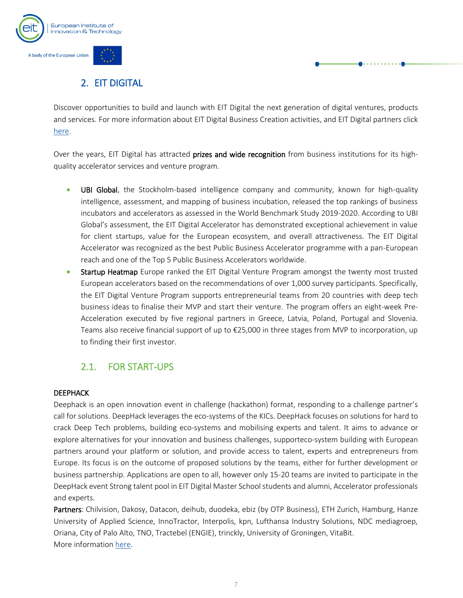

## 2. EIT DIGITAL

<span id="page-7-0"></span>Discover opportunities to build and launch with EIT Digital the next generation of digital ventures, products and services. For more information about EIT Digital Business Creation activities, and EIT Digital partners click [here.](https://www.eitdigital.eu/fileadmin/2021/ecosystem/downloads/EIT-Digital-Partners-March-2021.pdf)

Over the years, EIT Digital has attracted prizes and wide recognition from business institutions for its highquality accelerator services and venture program.

- UBI Global, the Stockholm-based intelligence company and community, known for high-quality intelligence, assessment, and mapping of business incubation, released the top rankings of business incubators and accelerators as assessed in the World Benchmark Study 2019-2020. According to UBI Global's assessment, the EIT Digital Accelerator has demonstrated exceptional achievement in value for client startups, value for the European ecosystem, and overall attractiveness. The EIT Digital Accelerator was recognized as the best Public Business Accelerator programme with a pan-European reach and one of the Top 5 Public Business Accelerators worldwide.
- Startup Heatmap Europe ranked the EIT Digital Venture Program amongst the twenty most trusted European accelerators based on the recommendations of over 1,000 survey participants. Specifically, the EIT Digital Venture Program supports entrepreneurial teams from 20 countries with deep tech business ideas to finalise their MVP and start their venture. The program offers an eight-week Pre-Acceleration executed by five regional partners in Greece, Latvia, Poland, Portugal and Slovenia. Teams also receive financial support of up to €25,000 in three stages from MVP to incorporation, up to finding their first investor.

## 2.1. FOR START-UPS

#### <span id="page-7-1"></span>**DEEPHACK**

Deephack is an open innovation event in challenge (hackathon) format, responding to a challenge partner's call for solutions. DeepHack leverages the eco-systems of the KICs. DeepHack focuses on solutions for hard to crack Deep Tech problems, building eco-systems and mobilising experts and talent. It aims to advance or explore alternatives for your innovation and business challenges, supporteco-system building with European partners around your platform or solution, and provide access to talent, experts and entrepreneurs from Europe. Its focus is on the outcome of proposed solutions by the teams, either for further development or business partnership. Applications are open to all, however only 15-20 teams are invited to participate in the DeepHack event Strong talent pool in EIT Digital Master School students and alumni, Accelerator professionals and experts.

Partners: Chilvision, Dakosy, Datacon, deihub, duodeka, ebiz (by OTP Business), ETH Zurich, Hamburg, Hanze University of Applied Science, InnoTractor, Interpolis, kpn, Lufthansa Industry Solutions, NDC mediagroep, Oriana, City of Palo Alto, TNO, Tractebel (ENGIE), trinckly, University of Groningen, VitaBit. More informatio[n here.](https://www.eitdigital.eu/deephack/)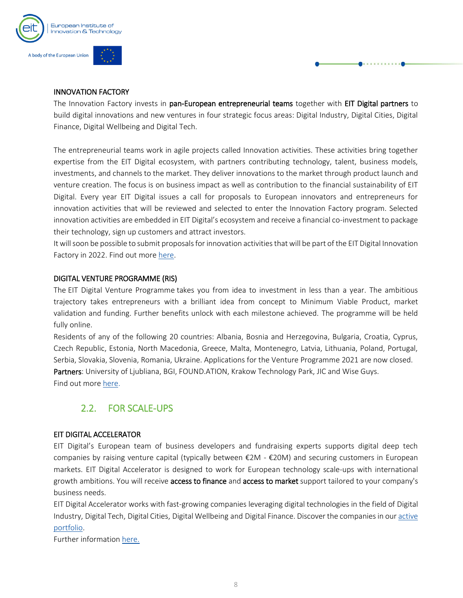

#### INNOVATION FACTORY

The Innovation Factory invests in pan-European entrepreneurial teams together with EIT Digital partners to build digital innovations and new ventures in four strategic focus areas: Digital Industry, Digital Cities, Digital Finance, Digital Wellbeing and Digital Tech.

The entrepreneurial teams work in agile projects called Innovation activities. These activities bring together expertise from the EIT Digital ecosystem, with partners contributing technology, talent, business models, investments, and channels to the market. They deliver innovations to the market through product launch and venture creation. The focus is on business impact as well as contribution to the financial sustainability of EIT Digital. Every year EIT Digital issues a call for proposals to European innovators and entrepreneurs for innovation activities that will be reviewed and selected to enter the Innovation Factory program. Selected innovation activities are embedded in EIT Digital's ecosystem and receive a financial co-investment to package their technology, sign up customers and attract investors.

It will soon be possible to submit proposals for innovation activities that will be part of the EIT Digital Innovation Factory in 2022. Find out mor[e here.](https://www.eitdigital.eu/innovation-factory/)

#### DIGITAL VENTURE PROGRAMME (RIS)

The [EIT Digital Venture Programm](https://www.eitdigital.eu/venture-program/)e takes you from idea to investment in less than a year. The ambitious trajectory takes entrepreneurs with a brilliant idea from concept to Minimum Viable Product, market validation and funding. Further benefits unlock with each milestone achieved. The programme will be held fully online.

Residents of any of the following 20 countries: Albania, Bosnia and Herzegovina, Bulgaria, Croatia, Cyprus, Czech Republic, Estonia, North Macedonia, Greece, Malta, Montenegro, Latvia, Lithuania, Poland, Portugal, Serbia, Slovakia, Slovenia, Romania, Ukraine. Applications for the Venture Programme 2021 are now closed. Partners: University of Ljubliana, BGI, FOUND.ATION, Krakow Technology Park, JIC and Wise Guys. Find out more [here.](https://www.eitdigital.eu/venture-program/)

## 2.2. FOR SCALE-UPS

#### <span id="page-8-0"></span>EIT DIGITAL ACCELERATOR

EIT Digital's European team of business developers and fundraising experts supports digital deep tech companies by raising venture capital (typically between  $\epsilon$ 2M -  $\epsilon$ 20M) and securing customers in European markets. EIT Digital Accelerator is designed to work for European technology scale-ups with international growth ambitions. You will receive access to finance and access to market support tailored to your company's business needs.

EIT Digital Accelerator works with fast-growing companies leveraging digital technologies in the field of Digital Industry, Digital Tech, Digital Cities, Digital Wellbeing and Digital Finance. Discover the companies in ou[r active](https://www.eitdigital.eu/fileadmin/2021/accelerator/EIT-Digital-Accelerator_Active-Scaleup-Portfolio.pdf)  [portfolio.](https://www.eitdigital.eu/fileadmin/2021/accelerator/EIT-Digital-Accelerator_Active-Scaleup-Portfolio.pdf)

Further information [here.](https://www.eitdigital.eu/accelerator/)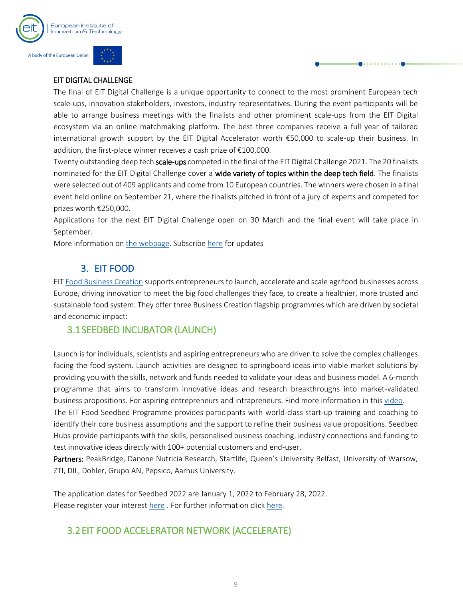

#### EIT DIGITAL CHALLENGE

The final of EIT Digital Challenge is a unique opportunity to connect to the most prominent European tech scale-ups, innovation stakeholders, investors, industry representatives. During the event participants will be able to arrange business meetings with the finalists and other prominent scale-ups from the EIT Digital ecosystem via an online matchmaking platform. The best three companies receive a full year of tailored international growth support by the EIT Digital Accelerator worth €50,000 to scale-up their business. In addition, the first-place winner receives a cash prize of €100,000.

Twenty outstanding deep tech scale-ups competed in the final of the EIT Digital Challenge 2021. The 20 finalists nominated for the EIT Digital Challenge cover a wide variety of topics within the deep tech field. The finalists were selected out of 409 applicants and come from 10 European countries. The winners were chosen in a final event held online on September 21, where the finalists pitched in front of a jury of experts and competed for prizes worth €250,000.

Applications for the next EIT Digital Challenge open on 30 March and the final event will take place in September.

More information o[n the webpage.](https://www.eitdigital.eu/challenge/) Subscrib[e here](https://info.accelerator.eitdigital.eu/sing-up-for-updates-on-eit-digital-challenge) for updates

## 3. EIT FOOD

<span id="page-9-0"></span>EI[T Food Business Creation](https://www.eitfood.eu/entrepreneurship) supports entrepreneurs to launch, accelerate and scale agrifood businesses across Europe, driving innovation to meet the big food challenges they face, to create a healthier, more trusted and sustainable food system. They offer three Business Creation flagship programmes which are driven by societal and economic impact:

### <span id="page-9-1"></span>3.1SEEDBED INCUBATOR (LAUNCH)

Launch is for individuals, scientists and aspiring entrepreneurs who are driven to solve the complex challenges facing the food system. Launch activities are designed to springboard ideas into viable market solutions by providing you with the skills, network and funds needed to validate your ideas and business model. A 6-month programme that aims to transform innovative ideas and research breakthroughs into market-validated business propositions. For aspiring entrepreneurs and intrapreneurs. Find more information in this [video.](https://youtu.be/B9zTGDVyZaM)

The EIT Food Seedbed Programme provides participants with world-class start-up training and coaching to identify their core business assumptions and the support to refine their business value propositions. Seedbed Hubs provide participants with the skills, personalised business coaching, industry connections and funding to test innovative ideas directly with 100+ potential customers and end-user.

Partners: PeakBridge, Danone Nutricia Research, Startlife, Queen's University Belfast, University of Warsow, ZTI, DIL, Dohler, Grupo AN, Pepsico, Aarhus University.

The application dates for Seedbed 2022 are January 1, 2022 to February 28, 2022. Please register your interest [here.](https://www.eitfood.eu/projects/seedbed) For further information click here.

## <span id="page-9-2"></span>3.2EIT FOOD ACCELERATOR NETWORK (ACCELERATE)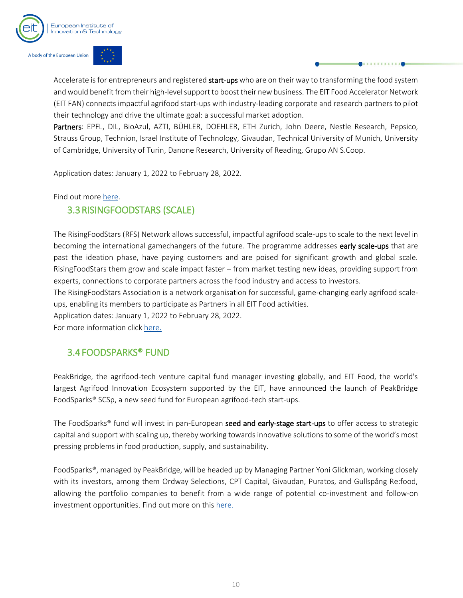



Accelerate is for entrepreneurs and registered start-ups who are on their way to transforming the food system and would benefit from their high-level support to boost their new business. The EIT Food Accelerator Network (EIT FAN) connects impactful agrifood start-ups with industry-leading corporate and research partners to pilot their technology and drive the ultimate goal: a successful market adoption.

Partners: EPFL, DIL, BioAzul, AZTI, BÜHLER, DOEHLER, ETH Zurich, John Deere, Nestle Research, Pepsico, Strauss Group, Technion, Israel Institute of Technology, Givaudan, Technical University of Munich, University of Cambridge, University of Turin, Danone Research, University of Reading, Grupo AN S.Coop.

Application dates: January 1, 2022 to February 28, 2022.

<span id="page-10-0"></span>Find out more [here.](https://www.eitfood.eu/projects/eit-food-accelerator-network)

## 3.3RISINGFOODSTARS (SCALE)

The RisingFoodStars (RFS) Network allows successful, impactful agrifood scale-ups to scale to the next level in becoming the international gamechangers of the future. The programme addresses early scale-ups that are past the ideation phase, have paying customers and are poised for significant growth and global scale. RisingFoodStars them grow and scale impact faster – from market testing new ideas, providing support from experts, connections to corporate partners across the food industry and access to investors.

The RisingFoodStars Association is a network organisation for successful, game-changing early agrifood scaleups, enabling its members to participate as Partners in all EIT Food activities.

Application dates: January 1, 2022 to February 28, 2022.

For more information clic[k here.](https://www.eitfood.eu/projects/risingfoodstars)

## <span id="page-10-1"></span>3.4FOODSPARKS® FUND

PeakBridge, the agrifood-tech venture capital fund manager investing globally, and EIT Food, the world's largest Agrifood Innovation Ecosystem supported by the EIT, have announced the launch of PeakBridge FoodSparks® SCSp, a new seed fund for European agrifood-tech start-ups.

The FoodSparks® fund will invest in pan-European seed and early-stage start-ups to offer access to strategic capital and support with scaling up, thereby working towards innovative solutions to some of the world's most pressing problems in food production, supply, and sustainability.

FoodSparks®, managed by PeakBridge, will be headed up by Managing Partner Yoni Glickman, working closely with its investors, among them Ordway Selections, CPT Capital, Givaudan, Puratos, and Gullspång Re:food, allowing the portfolio companies to benefit from a wide range of potential co-investment and follow-on investment opportunities. Find out more on this [here.](https://eit.europa.eu/news-events/news/eit-food-and-peakbridge-launched-foodsparksr-new-agrifood-tech-seed-fund)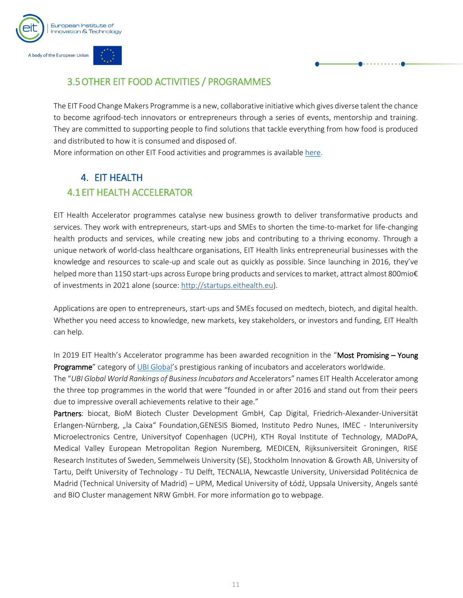

## <span id="page-11-0"></span>3.5OTHER EIT FOOD ACTIVITIES / PROGRAMMES

The EIT Food Change Makers Programme is a new, collaborative initiative which gives diverse talent the chance to become agrifood-tech innovators or entrepreneurs through a series of events, mentorship and training. They are committed to supporting people to find solutions that tackle everything from how food is produced and distributed to how it is consumed and disposed of.

More information on other EIT Food activities and programmes is availabl[e here.](https://www.eitfood.eu/projects/change-makers)

## <span id="page-11-2"></span><span id="page-11-1"></span>4. EIT HEALTH 4.1EIT HEALTH ACCELERATOR

EIT Health Accelerator programmes catalyse new business growth to deliver transformative products and services. They work with entrepreneurs, start-ups and SMEs to shorten the time-to-market for life-changing health products and services, while creating new jobs and contributing to a thriving economy. Through a unique network of world-class healthcare organisations, EIT Health links entrepreneurial businesses with the knowledge and resources to scale-up and scale out as quickly as possible. Since launching in 2016, they've helped more than 1150 start-ups across Europe bring products and services to market, attract almost 800mio€ of investments in 2021 alone (source[: http://startups.eithealth.eu\)](http://startups.eithealth.eu/).

Applications are open to entrepreneurs, start-ups and SMEs focused on medtech, biotech, and digital health. Whether you need access to knowledge, new markets, key stakeholders, or investors and funding, EIT Health can help.

In 2019 EIT Health's Accelerator programme has been awarded recognition in the "Most Promising - Young Programme" category of [UBI Global](https://ubi-global.com/)'s prestigious ranking of incubators and accelerators worldwide.

The "*UBI Global World Rankings of Business Incubators and* Accelerators" names EIT Health Accelerator among the three top programmes in the world that were "founded in or after 2016 and stand out from their peers due to impressive overall achievements relative to their age."

Partners: biocat, BioM Biotech Cluster Development GmbH, Cap Digital, Friedrich-Alexander-Universität Erlangen-Nürnberg, "la Caixa" Foundation,GENESIS Biomed, Instituto Pedro Nunes, IMEC - Interuniversity Microelectronics Centre, Universityof Copenhagen (UCPH), KTH Royal Institute of Technology, MADoPA, Medical Valley European Metropolitan Region Nuremberg, MEDICEN, Rijksuniversiteit Groningen, RISE Research Institutes of Sweden, Semmelweis University (SE), Stockholm Innovation & Growth AB, University of Tartu, Delft University of Technology - TU Delft, TECNALIA, Newcastle University, Universidad Politécnica de Madrid (Technical University of Madrid) – UPM, Medical University of Łódź, Uppsala University, Angels santé and BIO Cluster management NRW GmbH. For more information go to [webpage.](https://eithealth.eu/what-we-do/eit-health-accelerator-programmes/)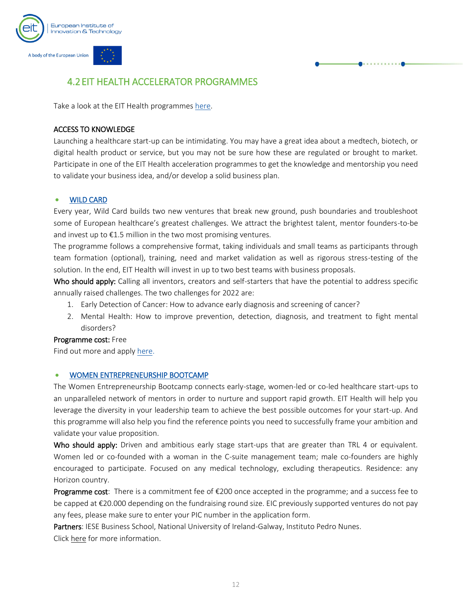

## <span id="page-12-0"></span>4.2EIT HEALTH ACCELERATOR PROGRAMMES

Take a look at the EIT Health programmes [here.](https://eithealth.eu/what-we-do/our-programmes/)

#### ACCESS TO KNOWLEDGE

Launching a healthcare start-up can be intimidating. You may have a great idea about a medtech, biotech, or digital health product or service, but you may not be sure how these are regulated or brought to market. Participate in one of the EIT Health acceleration programmes to get the knowledge and mentorship you need to validate your business idea, and/or develop a solid business plan.

#### • WILD CARD

Every year, Wild Card builds two new ventures that break new ground, push boundaries and troubleshoot some of European healthcare's greatest challenges. We attract the brightest talent, mentor founders-to-be and invest up to  $E1.5$  million in the two most promising ventures.

The programme follows a comprehensive format, taking individuals and small teams as participants through team formation (optional), training, need and market validation as well as rigorous stress-testing of the solution. In the end, EIT Health will invest in up to two best teams with business proposals.

Who should apply: Calling all inventors, creators and self-starters that have the potential to address specific annually raised challenges. The two challenges for 2022 are:

- 1. Early Detection of Cancer: How to advance early diagnosis and screening of cancer?
- 2. Mental Health: How to improve prevention, detection, diagnosis, and treatment to fight mental disorders?

#### Programme cost: Free

Find out more and appl[y here.](https://wildcard.eithealth.eu/)

#### • WOMEN ENTREPRENEURSHIP BOOTCAMP

The Women Entrepreneurship Bootcamp connects early-stage, women-led or co-led healthcare start-ups to an unparalleled network of mentors in order to nurture and support rapid growth. EIT Health will help you leverage the diversity in your leadership team to achieve the best possible outcomes for your start-up. And this programme will also help you find the reference points you need to successfully frame your ambition and validate your value proposition.

Who should apply: Driven and ambitious early stage start-ups that are greater than TRL 4 or equivalent. Women led or co-founded with a woman in the C-suite management team; male co-founders are highly encouraged to participate. Focused on any medical technology, excluding therapeutics. Residence: any Horizon country.

**Programme cost**: There is a commitment fee of  $\epsilon$ 200 once accepted in the programme; and a success fee to be capped at €20.000 depending on the fundraising round size. EIC previously supported ventures do not pay any fees, please make sure to enter your PIC number in the application form.

Partners: IESE Business School, National University of Ireland-Galway, Instituto Pedro Nunes. Clic[k here](https://eithealth.eu/women-entrepreneurship-bootcamp/) for more information.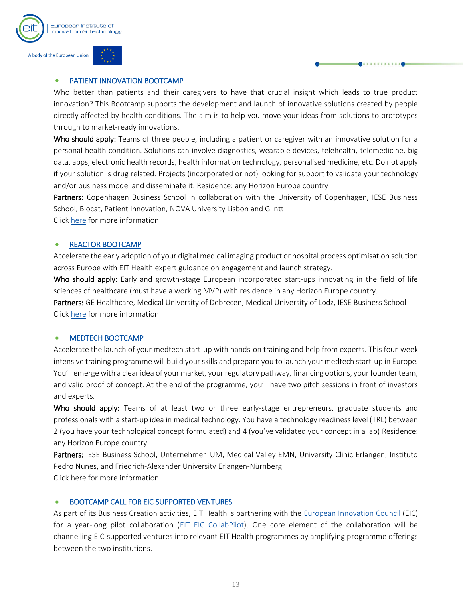

## • PATIENT INNOVATION BOOTCAMP

Who better than patients and their caregivers to have that crucial insight which leads to true product innovation? This Bootcamp supports the development and launch of innovative solutions created by people directly affected by health conditions. The aim is to help you move your ideas from solutions to prototypes through to market-ready innovations.

Who should apply: Teams of three people, including a patient or caregiver with an innovative solution for a personal health condition. Solutions can involve diagnostics, wearable devices, telehealth, telemedicine, big data, apps, electronic health records, health information technology, personalised medicine, etc. Do not apply if your solution is drug related. Projects (incorporated or not) looking for support to validate your technology and/or business model and disseminate it. Residence: any Horizon Europe country

Partners: Copenhagen Business School in collaboration with the University of Copenhagen, IESE Business School, Biocat, Patient Innovation, NOVA University Lisbon and Glintt

Clic[k here](https://eithealth.eu/project/patient-innovation-bootcamp/) for more information

## • REACTOR BOOTCAMP

Accelerate the early adoption of your digital medical imaging product or hospital process optimisation solution across Europe with EIT Health expert guidance on engagement and launch strategy.

Who should apply: Early and growth-stage European incorporated start-ups innovating in the field of life sciences of healthcare (must have a working MVP) with residence in any Horizon Europe country.

Partners: GE Healthcare, Medical University of Debrecen, Medical University of Lodz, IESE Business School Clic[k here](https://hvlab.eu/program/8/reactor-2021) for more information

### • MEDTECH BOOTCAMP

Accelerate the launch of your medtech start-up with hands-on training and help from experts. This four-week intensive training programme will build your skills and prepare you to launch your medtech start-up in Europe. You'll emerge with a clear idea of your market, your regulatory pathway, financing options, your founder team, and valid proof of concept. At the end of the programme, you'll have two pitch sessions in front of investors and experts.

Who should apply: Teams of at least two or three early-stage entrepreneurs, graduate students and professionals with a start-up idea in medical technology. You have a technology readiness level (TRL) between 2 (you have your technological concept formulated) and 4 (you've validated your concept in a lab) Residence: any Horizon Europe country.

Partners: IESE Business School, UnternehmerTUM, Medical Valley EMN, University Clinic Erlangen, Instituto Pedro Nunes, and Friedrich-Alexander University Erlangen-Nürnberg Clic[k here](https://eithealth.eu/medtech-bootcamp/) for more information.

## • BOOTCAMP CALL FOR EIC SUPPORTED VENTURES

As part of its Business Creation activities, EIT Health is partnering with the [European Innovation Council](https://eic.ec.europa.eu/index_en) (EIC) for a year-long pilot collaboration [\(EIT EIC CollabPilot\)](https://eithealth.eu/eit-eic-collabpilot/). One core element of the collaboration will be channelling EIC-supported ventures into relevant EIT Health programmes by amplifying programme offerings between the two institutions.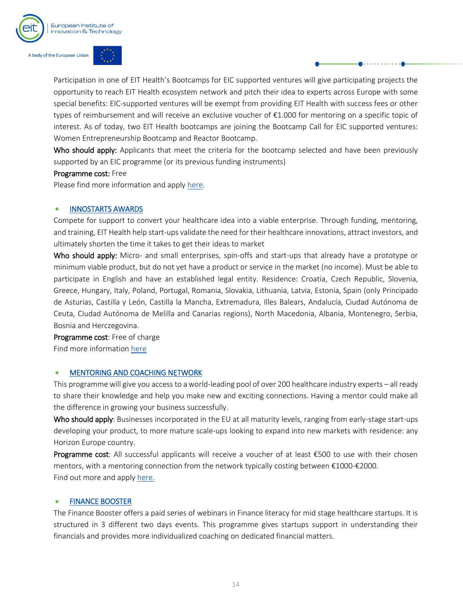



Participation in one of EIT Health's Bootcamps for EIC supported ventures will give participating projects the opportunity to reach EIT Health ecosystem network and pitch their idea to experts across Europe with some special benefits: EIC-supported ventures will be exempt from providing EIT Health with success fees or other types of reimbursement and will receive an exclusive voucher of €1.000 for mentoring on a specific topic of interest. As of today, two EIT Health bootcamps are joining the Bootcamp Call for EIC supported ventures: Women Entrepreneurship Bootcamp and Reactor Bootcamp.

Who should apply: Applicants that meet the criteria for the bootcamp selected and have been previously supported by an EIC programme (or its previous funding instruments)

#### Programme cost: Free

Please find more information and apply [here.](https://eithealth.eu/eit-eic-collabpilot/)

#### • INNOSTARTS AWARDS

Compete for support to convert your healthcare idea into a viable enterprise. Through funding, mentoring, and training, EIT Health help start-ups validate the need for their healthcare innovations, attract investors, and ultimately shorten the time it takes to get their ideas to market

Who should apply: Micro- and small enterprises, spin-offs and start-ups that already have a prototype or minimum viable product, but do not yet have a product or service in the market (no income). Must be able to participate in English and have an established legal entity. Residence: Croatia, Czech Republic, Slovenia, Greece, Hungary, Italy, Poland, Portugal, Romania, Slovakia, Lithuania, Latvia, Estonia, Spain (only Principado de Asturias, Castilla y León, Castilla la Mancha, Extremadura, Illes Balears, Andalucía, Ciudad Autónoma de Ceuta, Ciudad Autónoma de Melilla and Canarias regions), North Macedonia, Albania, Montenegro, Serbia, Bosnia and Herczegovina.

Programme cost: Free of charge Find more information [here](https://eithealth.eu/project/innostars-awards/)

#### • MENTORING AND COACHING NETWORK

This programme will give you access to a world-leading pool of over 200 healthcare industry experts – all ready to share their knowledge and help you make new and exciting connections. Having a mentor could make all the difference in growing your business successfully.

Who should apply: Businesses incorporated in the EU at all maturity levels, ranging from early-stage start-ups developing your product, to more mature scale-ups looking to expand into new markets with residence: any Horizon Europe country.

Programme cost: All successful applicants will receive a voucher of at least €500 to use with their chosen mentors, with a mentoring connection from the network typically costing between €1000-€2000. Find out more and appl[y here.](https://eithealth.eu/programmes/mentoring-and-coaching-network/)

#### • FINANCE BOOSTER

The Finance Booster offers a paid series of webinars in Finance literacy for mid stage healthcare startups. It is structured in 3 different two days events. This programme gives startups support in understanding their financials and provides more individualized coaching on dedicated financial matters.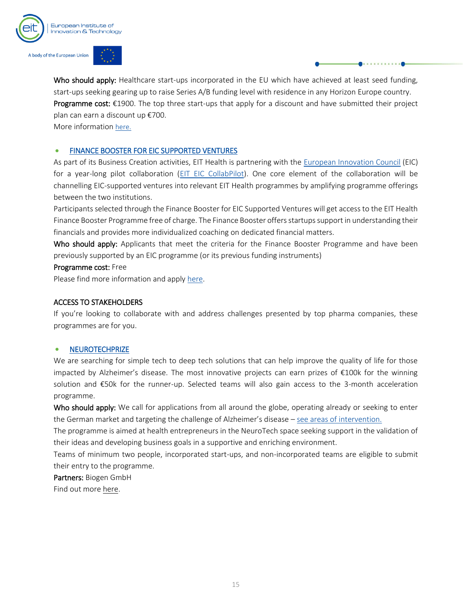



Who should apply: Healthcare start-ups incorporated in the EU which have achieved at least seed funding, start-ups seeking gearing up to raise Series A/B funding level with residence in any Horizon Europe country. Programme cost:  $\epsilon$ 1900. The top three start-ups that apply for a discount and have submitted their project plan can earn a discount up €700.

More information [here.](https://eithealth.eu/programmes/finance-booster/) 

#### • FINANCE BOOSTER FOR EIC SUPPORTED VENTURES

As part of its Business Creation activities, EIT Health is partnering with the [European Innovation Council](https://eic.ec.europa.eu/index_en) (EIC) for a year-long pilot collaboration [\(EIT EIC CollabPilot\)](https://eithealth.eu/eit-eic-collabpilot/). One core element of the collaboration will be channelling EIC-supported ventures into relevant EIT Health programmes by amplifying programme offerings between the two institutions.

Participants selected through the Finance Booster for EIC Supported Ventures will get access to the EIT Health Finance Booster Programme free of charge. The Finance Booster offers startups support in understanding their financials and provides more individualized coaching on dedicated financial matters.

Who should apply: Applicants that meet the criteria for the Finance Booster Programme and have been previously supported by an EIC programme (or its previous funding instruments)

#### Programme cost: Free

Please find more information and apply [here.](https://eithealth.eu/eit-eic-collabpilot/)

#### ACCESS TO STAKEHOLDERS

If you're looking to collaborate with and address challenges presented by top pharma companies, these programmes are for you.

#### **NEUROTECHPRIZE**

We are searching for simple tech to deep tech solutions that can help improve the quality of life for those impacted by Alzheimer's disease. The most innovative projects can earn prizes of €100k for the winning solution and €50k for the runner-up. Selected teams will also gain access to the 3-month acceleration programme.

Who should apply: We call for applications from all around the globe, operating already or seeking to enter the German market and targeting the challenge of Alzheimer's disease – [see areas of intervention.](https://eithealth.eu/programmes/neurotech-prize/)

The programme is aimed at health entrepreneurs in the NeuroTech space seeking support in the validation of their ideas and developing business goals in a supportive and enriching environment.

Teams of minimum two people, incorporated start-ups, and non-incorporated teams are eligible to submit their entry to the programme.

Partners: Biogen GmbH

Find out more [here.](https://eithealth.eu/programmes/neurotech-prize/)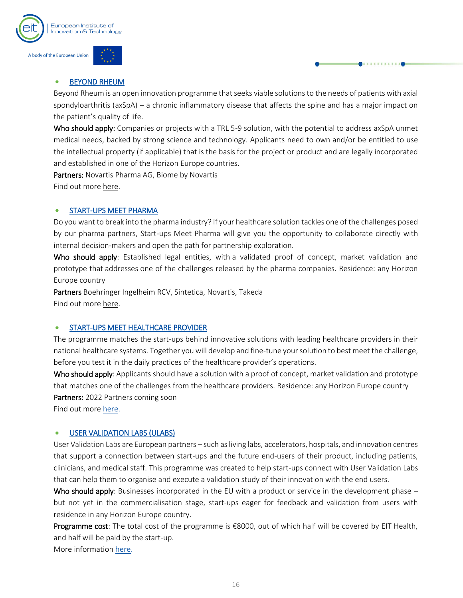

#### **BEYOND RHEUM**

Beyond Rheum is an open innovation programme that seeks viable solutions to the needs of patients with axial spondyloarthritis (axSpA) – a chronic inflammatory disease that affects the spine and has a major impact on the patient's quality of life.

Who should apply: Companies or projects with a TRL 5-9 solution, with the potential to address axSpA unmet medical needs, backed by strong science and technology. Applicants need to own and/or be entitled to use the intellectual property (if applicable) that is the basis for the project or product and are legally incorporated and established in one of the Horizon Europe countries.

Partners: Novartis Pharma AG, Biome by Novartis Find out more [here.](https://eithealth.eu/programmes/beyond-rheum/)

#### • START-UPS MEET PHARMA

Do you want to break into the pharma industry? If your healthcare solution tackles one of the challenges posed by our pharma partners, Start-ups Meet Pharma will give you the opportunity to collaborate directly with internal decision-makers and open the path for partnership exploration.

Who should apply: Established legal entities, with a validated proof of concept, market validation and prototype that addresses one of the challenges released by the pharma companies. Residence: any Horizon Europe country

Partners Boehringer Ingelheim RCV, Sintetica, Novartis, Takeda Find out more [here.](https://eithealth.eu/project/start-ups-meet-pharma/)

#### • START-UPS MEET HEALTHCARE PROVIDER

The programme matches the start-ups behind innovative solutions with leading healthcare providers in their national healthcare systems. Together you will develop and fine-tune your solution to best meet the challenge, before you test it in the daily practices of the healthcare provider's operations.

Who should apply: Applicants should have a solution with a proof of concept, market validation and prototype that matches one of the challenges from the healthcare providers. Residence: any Horizon Europe country Partners: 2022 Partners coming soon

Find out more [here.](https://eithealth.eu/programmes/start-ups-meet-healthcare-providers/)

#### USER VALIDATION LABS (ULABS)

User Validation Labs are European partners – such as living labs, accelerators, hospitals, and innovation centres that support a connection between start-ups and the future end-users of their product, including patients, clinicians, and medical staff. This programme was created to help start-ups connect with User Validation Labs that can help them to organise and execute a validation study of their innovation with the end users.

Who should apply: Businesses incorporated in the EU with a product or service in the development phase – but not yet in the commercialisation stage, start-ups eager for feedback and validation from users with residence in any Horizon Europe country.

Programme cost: The total cost of the programme is €8000, out of which half will be covered by EIT Health, and half will be paid by the start-up.

More informatio[n here.](https://eithealth.eu/programmes/ulabs/)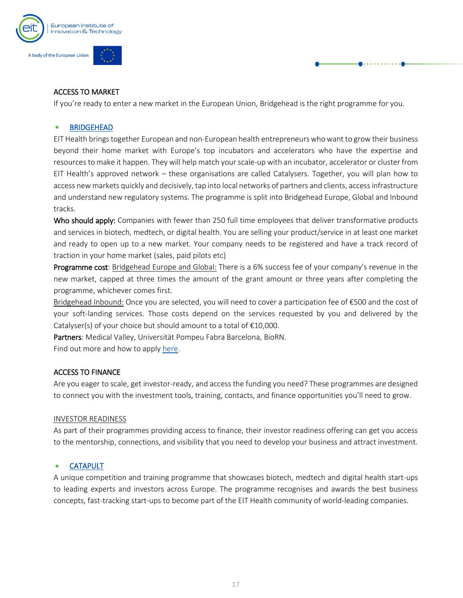

#### ACCESS TO MARKET

If you're ready to enter a new market in the European Union, Bridgehead is the right programme for you.

#### • BRIDGEHEAD

EIT Health brings together European and non-European health entrepreneurs who want to grow their business beyond their home market with Europe's top incubators and accelerators who have the expertise and resources to make it happen. They will help match your scale-up with an incubator, accelerator or cluster from EIT Health's approved network – these organisations are called Catalysers. Together, you will plan how to access new markets quickly and decisively, tap into local networks of partners and clients, access infrastructure and understand new regulatory systems. The programme is split into Bridgehead Europe, Global and Inbound tracks.

Who should apply: Companies with fewer than 250 full time employees that deliver transformative products and services in biotech, medtech, or digital health. You are selling your product/service in at least one market and ready to open up to a new market. Your company needs to be registered and have a track record of traction in your home market (sales, paid pilots etc)

Programme cost: Bridgehead Europe and Global: There is a 6% success fee of your company's revenue in the new market, capped at three times the amount of the grant amount or three years after completing the programme, whichever comes first.

Bridgehead Inbound: Once you are selected, you will need to cover a participation fee of €500 and the cost of your soft-landing services. Those costs depend on the services requested by you and delivered by the Catalyser(s) of your choice but should amount to a total of  $£10,000$ .

Partners: Medical Valley, Universität Pompeu Fabra Barcelona, BioRN.

Find out more and how to apply [here.](https://eithealth.eu/bridgehead/)

#### ACCESS TO FINANCE

Are you eager to scale, get investor-ready, and access the funding you need? These programmes are designed to connect you with the investment tools, training, contacts, and finance opportunities you'll need to grow.

#### INVESTOR READINESS

As part of their programmes providing access to finance, their investor readiness offering can get you access to the mentorship, connections, and visibility that you need to develop your business and attract investment.

#### **CATAPULT**

A unique competition and training programme that showcases biotech, medtech and digital health start-ups to leading experts and investors across Europe. The programme recognises and awards the best business concepts, fast-tracking start-ups to become part of the EIT Health community of world-leading companies.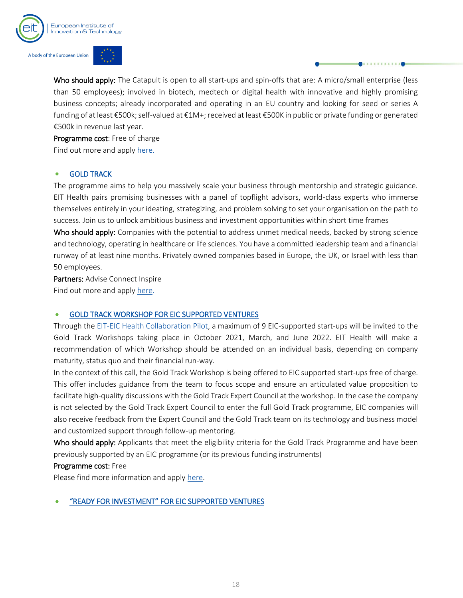



Who should apply: The Catapult is open to all start-ups and spin-offs that are: A micro/small enterprise (less than 50 employees); involved in biotech, medtech or digital health with innovative and highly promising business concepts; already incorporated and operating in an EU country and looking for seed or series A funding of at least €500k; self-valued at €1M+; received at least €500K in public or private funding or generated €500k in revenue last year.

Programme cost: Free of charge Find out more and appl[y here.](https://eithealth.eu/catapult/)

#### • GOLD TRACK

The programme aims to help you massively scale your business through mentorship and strategic guidance. EIT Health pairs promising businesses with a panel of topflight advisors, world-class experts who immerse themselves entirely in your ideating, strategizing, and problem solving to set your organisation on the path to success. Join us to unlock ambitious business and investment opportunities within short time frames

Who should apply: Companies with the potential to address unmet medical needs, backed by strong science and technology, operating in healthcare or life sciences. You have a committed leadership team and a financial runway of at least nine months. Privately owned companies based in Europe, the UK, or Israel with less than 50 employees.

Partners: Advise Connect Inspire Find out more and appl[y here.](https://eithealth.eu/goldtrack/)

#### • GOLD TRACK WORKSHOP FOR EIC SUPPORTED VENTURES

Through the [EIT-EIC Health Collaboration Pilot,](https://eithealth.eu/eit-eic-collabpilot/) a maximum of 9 EIC-supported start-ups will be invited to the Gold Track Workshops taking place in October 2021, March, and June 2022. EIT Health will make a recommendation of which Workshop should be attended on an individual basis, depending on company maturity, status quo and their financial run-way.

In the context of this call, the Gold Track Workshop is being offered to EIC supported start-ups free of charge. This offer includes guidance from the team to focus scope and ensure an articulated value proposition to facilitate high-quality discussions with the Gold Track Expert Council at the workshop. In the case the company is not selected by the Gold Track Expert Council to enter the full Gold Track programme, EIC companies will also receive feedback from the Expert Council and the Gold Track team on its technology and business model and customized support through follow-up mentoring.

Who should apply: Applicants that meet the eligibility criteria for the Gold Track Programme and have been previously supported by an EIC programme (or its previous funding instruments)

#### Programme cost: Free

Please find more information and apply [here.](https://eithealth.eu/eit-eic-collabpilot/)

#### • "READY FOR INVESTMENT" FOR EIC SUPPORTED VENTURES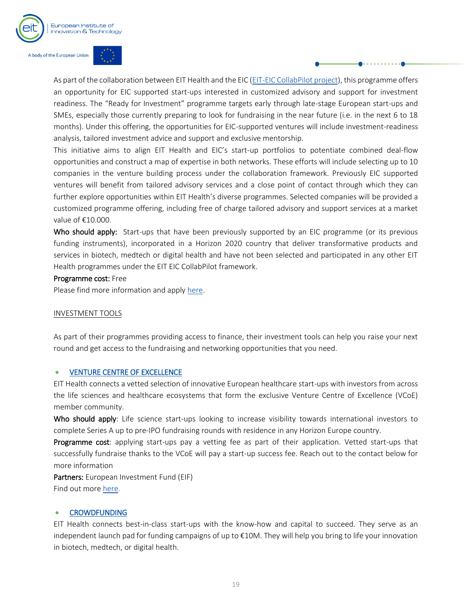

As part of the collaboration between EIT Health and the EIC [\(EIT-EIC CollabPilot project\)](https://eithealth.eu/eit-eic-collabpilot/), this programme offers an opportunity for EIC supported start-ups interested in customized advisory and support for investment readiness. The "Ready for Investment" programme targets early through late-stage European start-ups and SMEs, especially those currently preparing to look for fundraising in the near future (i.e. in the next 6 to 18 months). Under this offering, the opportunities for EIC-supported ventures will include investment-readiness analysis, tailored investment advice and support and exclusive mentorship.

This initiative aims to align EIT Health and EIC's start-up portfolios to potentiate combined deal-flow opportunities and construct a map of expertise in both networks. These efforts will include selecting up to 10 companies in the venture building process under the collaboration framework. Previously EIC supported ventures will benefit from tailored advisory services and a close point of contact through which they can further explore opportunities within EIT Health's diverse programmes. Selected companies will be provided a customized programme offering, including free of charge tailored advisory and support services at a market value of €10.000.

Who should apply: Start-ups that have been previously supported by an EIC programme (or its previous funding instruments), incorporated in a Horizon 2020 country that deliver transformative products and services in biotech, medtech or digital health and have not been selected and participated in any other EIT Health programmes under the EIT EIC CollabPilot framework.

#### Programme cost: Free

Please find more information and apply [here.](https://eithealth.eu/eit-eic-collabpilot/)

#### INVESTMENT TOOLS

As part of their programmes providing access to finance, their investment tools can help you raise your next round and get access to the fundraising and networking opportunities that you need.

#### • VENTURE CENTRE OF EXCELLENCE

EIT Health connects a vetted selection of innovative European healthcare start-ups with investors from across the life sciences and healthcare ecosystems that form the exclusive Venture Centre of Excellence (VCoE) member community.

Who should apply: Life science start-ups looking to increase visibility towards international investors to complete Series A up to pre-IPO fundraising rounds with residence in any Horizon Europe country.

Programme cost: applying start-ups pay a vetting fee as part of their application. Vetted start-ups that successfully fundraise thanks to the VCoE will pay a start-up success fee. Reach out to the contact below for more information

Partners: European Investment Fund (EIF) Find out more [here.](https://eithealth.eu/project/venture-centre-of-excellence/)

#### • CROWDFUNDING

EIT Health connects best-in-class start-ups with the know-how and capital to succeed. They serve as an independent launch pad for funding campaigns of up to €10M. They will help you bring to life your innovation in biotech, medtech, or digital health.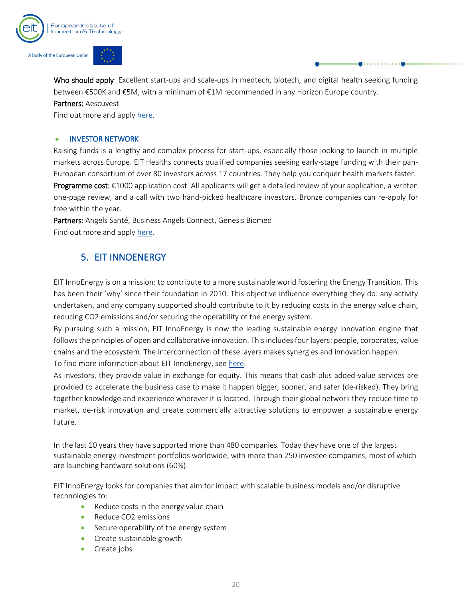

Who should apply: Excellent start-ups and scale-ups in medtech, biotech, and digital health seeking funding between €500K and €5M, with a minimum of €1M recommended in any Horizon Europe country. Partners: Aescuvest

Find out more and appl[y here.](https://eithealth.eu/project/crowdfunding/)

#### • INVESTOR NETWORK

Raising funds is a lengthy and complex process for start-ups, especially those looking to launch in multiple markets across Europe. EIT Healths connects qualified companies seeking early-stage funding with their pan-European consortium of over 80 investors across 17 countries. They help you conquer health markets faster. Programme cost: €1000 application cost. All applicants will get a detailed review of your application, a written one-page review, and a call with two hand-picked healthcare investors. Bronze companies can re-apply for free within the year.

Partners: Angels Santé, Business Angels Connect, Genesis Biomed Find out more and appl[y here.](https://eithealth.eu/project/investor-network/)

## 5. EIT INNOENERGY

<span id="page-20-0"></span>EIT InnoEnergy is on a mission: to contribute to a more sustainable world fostering the Energy Transition. This has been their 'why' since their foundation in 2010. This objective influence everything they do: any activity undertaken, and any company supported should contribute to it by reducing costs in the energy value chain, reducing CO2 emissions and/or securing the operability of the energy system.

By pursuing such a mission, EIT InnoEnergy is now the leading sustainable energy innovation engine that follows the principles of open and collaborative innovation. This includes four layers: people, corporates, value chains and the ecosystem. The interconnection of these layers makes synergies and innovation happen.

To find more information about EIT InnoEnergy, see [here.](https://www.innoenergy.com/)

As investors, they provide value in exchange for equity. This means that cash plus added-value services are provided to accelerate the business case to make it happen bigger, sooner, and safer (de-risked). They bring together knowledge and experience wherever it is located. Through their global network they reduce time to market, de-risk innovation and create commercially attractive solutions to empower a sustainable energy future.

In the last 10 years they have supported more than 480 companies. Today they have one of the largest sustainable energy investment portfolios worldwide, with more than 250 investee companies, most of which are launching hardware solutions (60%).

EIT InnoEnergy looks for companies that aim for impact with scalable business models and/or disruptive technologies to:

- Reduce costs in the energy value chain
- Reduce CO2 emissions
- Secure operability of the energy system
- Create sustainable growth
- Create jobs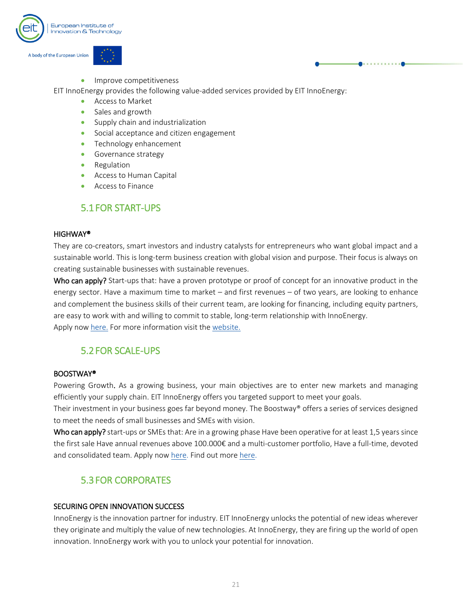

• Improve competitiveness

EIT InnoEnergy provides the following value-added services provided by EIT InnoEnergy:

- Access to Market
- Sales and growth
- Supply chain and industrialization
- Social acceptance and citizen engagement
- Technology enhancement
- Governance strategy
- Regulation
- Access to Human Capital
- Access to Finance

## 5.1FOR START-UPS

#### <span id="page-21-0"></span>HIGHWAY®

They are co-creators, smart investors and industry catalysts for entrepreneurs who want global impact and a sustainable world. This is long-term business creation with global vision and purpose. Their focus is always on creating sustainable businesses with sustainable revenues.

Who can apply? Start-ups that: have a proven prototype or proof of concept for an innovative product in the energy sector. Have a maximum time to market – and first revenues – of two years, are looking to enhance and complement the business skills of their current team, are looking for financing, including equity partners, are easy to work with and willing to commit to stable, long-term relationship with InnoEnergy. Apply now [here.](https://bc.innoenergy.com/apply-form/) For more information visit the [website.](https://bc.innoenergy.com/for-start-ups/)

### 5.2FOR SCALE-UPS

#### <span id="page-21-1"></span>BOOSTWAY®

Powering Growth. As a growing business, your main objectives are to enter new markets and managing efficiently your supply chain. EIT InnoEnergy offers you targeted support to meet your goals.

Their investment in your business goes far beyond money. The Boostway® offers a series of services designed to meet the needs of small businesses and SMEs with vision.

Who can apply? start-ups or SMEs that: Are in a growing phase Have been operative for at least 1,5 years since the first sale Have annual revenues above 100.000€ and a multi-customer portfolio, Have a full-time, devoted and consolidated team. Apply now [here.](https://bc.innoenergy.com/for-scale-ups/) Find out more here.

## 5.3FOR CORPORATES

#### <span id="page-21-2"></span>SECURING OPEN INNOVATION SUCCESS

InnoEnergy is the innovation partner for industry. EIT InnoEnergy unlocks the potential of new ideas wherever they originate and multiply the value of new technologies. At InnoEnergy, they are firing up the world of open innovation. InnoEnergy work with you to unlock your potential for innovation.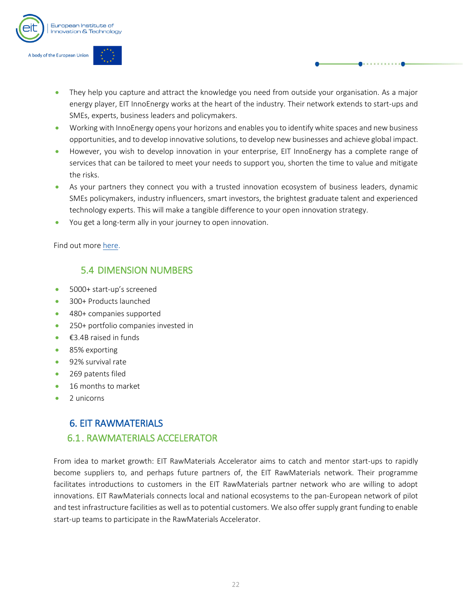

- They help you capture and attract the knowledge you need from outside your organisation. As a major energy player, EIT InnoEnergy works at the heart of the industry. Their network extends to start-ups and SMEs, experts, business leaders and policymakers.
- Working with InnoEnergy opens your horizons and enables you to identify white spaces and new business opportunities, and to develop innovative solutions, to develop new businesses and achieve global impact.
- However, you wish to develop innovation in your enterprise, EIT InnoEnergy has a complete range of services that can be tailored to meet your needs to support you, shorten the time to value and mitigate the risks.
- As your partners they connect you with a trusted innovation ecosystem of business leaders, dynamic SMEs policymakers, industry influencers, smart investors, the brightest graduate talent and experienced technology experts. This will make a tangible difference to your open innovation strategy.
- You get a long-term ally in your journey to open innovation.

Find out more [here.](https://bc.innoenergy.com/for-corporates/)

## <span id="page-22-0"></span>5.4 DIMENSION NUMBERS

- 5000+ start-up's screened
- 300+ Products launched
- 480+ companies supported
- 250+ portfolio companies invested in
- $\bullet$   $\epsilon$ 3.4B raised in funds
- 85% exporting
- 92% survival rate
- 269 patents filed
- 16 months to market
- 2 unicorns

## <span id="page-22-2"></span><span id="page-22-1"></span>6. EIT RAWMATERIALS 6.1. RAWMATERIALS ACCELERATOR

From idea to market growth: EIT RawMaterials Accelerator aims to catch and mentor start-ups to rapidly become suppliers to, and perhaps future partners of, the EIT RawMaterials network. Their programme facilitates introductions to customers in the EIT RawMaterials partner network who are willing to adopt innovations. EIT RawMaterials connects local and national ecosystems to the pan-European network of pilot and test infrastructure facilities as well as to potential customers. We also offer supply grant funding to enable start-up teams to participate in the RawMaterials Accelerator.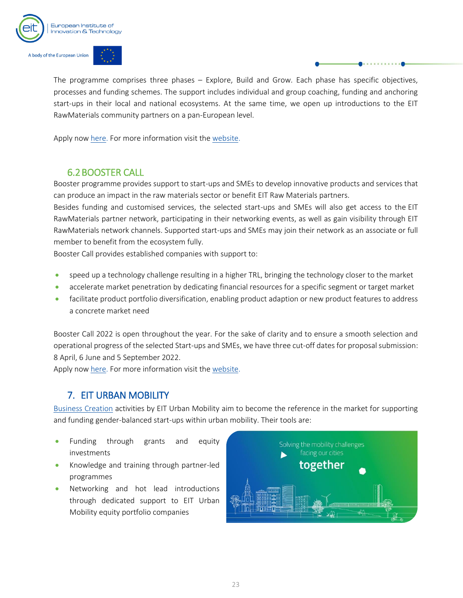

The programme comprises three phases – Explore, Build and Grow. Each phase has specific objectives, processes and funding schemes. The support includes individual and group coaching, funding and anchoring start-ups in their local and national ecosystems. At the same time, we open up introductions to the EIT RawMaterials community partners on a pan-European level.

Apply now [here.](https://webportalapp.com/sp/login/eitrawmaterials_acp1_2022) For more information visit the [website.](https://eitrawmaterials.eu/accelerator/)

## 6.2BOOSTER CALL

<span id="page-23-0"></span>Booster programme provides support to start-ups and SMEs to develop innovative products and services that can produce an impact in the raw materials sector or benefit EIT Raw Materials partners.

Besides funding and customised services, the selected start-ups and SMEs will also get access to the [EIT](https://eitrawmaterials.eu/about-us/partners/)  [RawMaterials partner network,](https://eitrawmaterials.eu/about-us/partners/) participating in their networking events, as well as gain visibility through EIT RawMaterials network channels. Supported start-ups and SMEs may join their network as an associate or full member to benefit from the ecosystem fully.

Booster Call provides established companies with support to:

- speed up a technology challenge resulting in a higher TRL, bringing the technology closer to the market
- accelerate market penetration by dedicating financial resources for a specific segment or target market
- facilitate product portfolio diversification, enabling product adaption or new product features to address a concrete market need

Booster Call 2022 is open throughout the year. For the sake of clarity and to ensure a smooth selection and operational progress of the selected Start-ups and SMEs, we have three cut-off dates for proposal submission: 8 April, 6 June and 5 September 2022.

Apply now [here.](https://webportalapp.com/sp/login/boostercall2022) For more information visit the [website.](https://eitrawmaterials.eu/booster-call/)

## 7. EIT URBAN MOBILITY

<span id="page-23-1"></span>[Business Creation](https://www.eiturbanmobility.eu/business-creation/) activities by EIT Urban Mobility aim to become the reference in the market for supporting and funding gender-balanced start-ups within urban mobility. Their tools are:

- Funding through grants and equity investments
- Knowledge and training through partner-led programmes
- Networking and hot lead introductions through dedicated support to EIT Urban Mobility equity portfolio companies

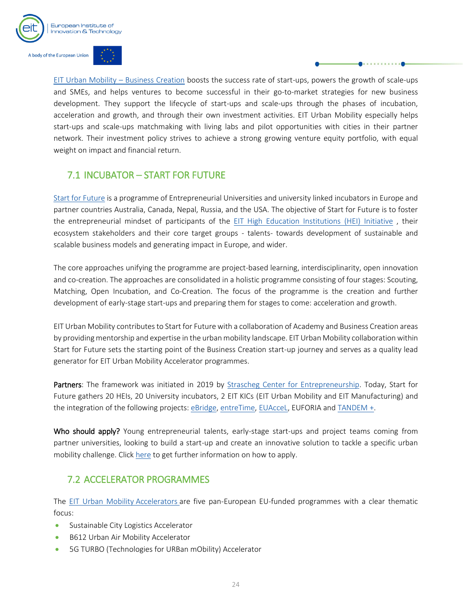

[EIT Urban Mobility](https://www.eiturbanmobility.eu/business-creation/) – Business Creation boosts the success rate of start-ups, powers the growth of scale-ups and SMEs, and helps ventures to become successful in their go-to-market strategies for new business development. They support the lifecycle of start-ups and scale-ups through the phases of incubation, acceleration and growth, and through their own investment activities. EIT Urban Mobility especially helps start-ups and scale-ups matchmaking with living labs and pilot opportunities with cities in their partner network. Their investment policy strives to achieve a strong growing venture equity portfolio, with equal weight on impact and financial return.

## <span id="page-24-0"></span>7.1 INCUBATOR – START FOR FUTURE

[Start for Future](https://www.sce.de/fileadmin/user_upload/AllgemeineDateien/07_Netzwerken/International/eBridge/eBA_Incubator_Version3_211116_2.pdf) is a programme of Entrepreneurial Universities and university linked incubators in Europe and partner countries Australia, Canada, Nepal, Russia, and the USA. The objective of Start for Future is to foster the entrepreneurial mindset of participants of the [EIT High Education](https://eit-hei.eu/about/about-eit-hei-initiative/) Institutions (HEI) Initiative , their ecosystem stakeholders and their core target groups - talents- towards development of sustainable and scalable business models and generating impact in Europe, and wider.

The core approaches unifying the programme are project-based learning, interdisciplinarity, open innovation and co-creation. The approaches are consolidated in a holistic programme consisting of four stages: Scouting, Matching, Open Incubation, and Co-Creation. The focus of the programme is the creation and further development of early-stage start-ups and preparing them for stages to come: acceleration and growth.

EIT Urban Mobility contributes to Start for Future with a collaboration of Academy and Business Creation areas by providing mentorship and expertise in the urban mobility landscape. EIT Urban Mobility collaboration within Start for Future sets the starting point of the Business Creation start-up journey and serves as a quality lead generator for EIT Urban Mobility Accelerator programmes.

Partners: The framework was initiated in 2019 by [Strascheg Center for Entrepreneurship.](https://www.sce.de/en/home.html) Today, Start for Future gathers 20 HEIs, 20 University incubators, 2 EIT KICs (EIT Urban Mobility and EIT Manufacturing) and the integration of the following projects[: eBridge,](http://www.ebridge-project.eu/en/) [entreTime,](https://www.entretime.eu/) [EUAcceL,](https://eit-hei.eu/projects/euaccel/) EUFORIA an[d TANDEM](https://eit-hei.eu/projects/tandem-plus/) +.

Who should apply? Young entrepreneurial talents, early-stage start-ups and project teams coming from partner universities, looking to build a start-up and create an innovative solution to tackle a specific urban mobility challenge. Click [here](https://www.sce.de/en/ebridge.html) to get further information on how to apply.

## <span id="page-24-1"></span>7.2 ACCELERATOR PROGRAMMES

The [EIT Urban Mobility](https://www.eiturbanmobility.eu/business-creation/accelerator/) Accelerators are five pan-European EU-funded programmes with a clear thematic focus:

- Sustainable City Logistics Accelerator
- B612 Urban Air Mobility Accelerator
- 5G TURBO (Technologies for URBan mObility) Accelerator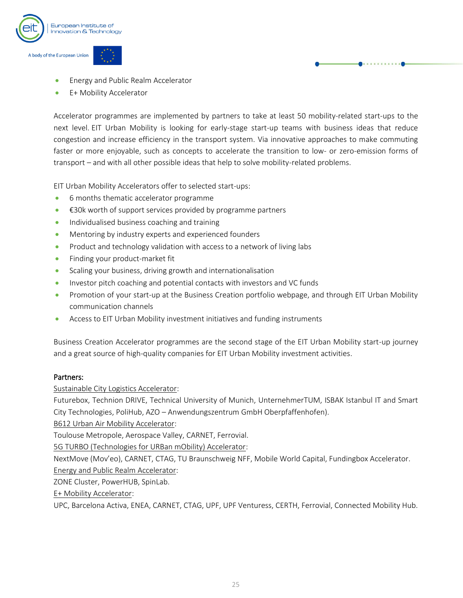

- Energy and Public Realm Accelerator
- E+ Mobility Accelerator

Accelerator programmes are implemented by partners to take at least 50 mobility-related start-ups to the next level. EIT Urban Mobility is looking for early-stage start-up teams with business ideas that reduce congestion and increase efficiency in the transport system. Via innovative approaches to make commuting faster or more enjoyable, such as concepts to accelerate the transition to low- or zero-emission forms of transport – and with all other possible ideas that help to solve mobility-related problems.

EIT Urban Mobility Accelerators offer to selected start-ups:

- 6 months thematic accelerator programme
- €30k worth of support services provided by programme partners
- Individualised business coaching and training
- Mentoring by industry experts and experienced founders
- Product and technology validation with access to a network of living labs
- Finding your product-market fit
- Scaling your business, driving growth and internationalisation
- Investor pitch coaching and potential contacts with investors and VC funds
- Promotion of your start-up at the Business Creation portfolio webpage, and through EIT Urban Mobility communication channels
- Access to EIT Urban Mobility investment initiatives and funding instruments

Business Creation Accelerator programmes are the second stage of the EIT Urban Mobility start-up journey and a great source of high-quality companies for EIT Urban Mobility investment activities.

#### Partners:

Sustainable City Logistics Accelerator:

Futurebox, Technion DRIVE, Technical University of Munich, UnternehmerTUM, ISBAK Istanbul IT and Smart City Technologies, PoliHub, AZO – Anwendungszentrum GmbH Oberpfaffenhofen).

B612 Urban Air Mobility Accelerator:

Toulouse Metropole, Aerospace Valley, CARNET, Ferrovial.

5G TURBO (Technologies for URBan mObility) Accelerator:

NextMove (Mov'eo), CARNET, CTAG, TU Braunschweig NFF, Mobile World Capital, Fundingbox Accelerator.

Energy and Public Realm Accelerator: ZONE Cluster, PowerHUB, SpinLab.

E+ Mobility Accelerator:

UPC, Barcelona Activa, ENEA, CARNET, CTAG, UPF, UPF Venturess, CERTH, Ferrovial, Connected Mobility Hub.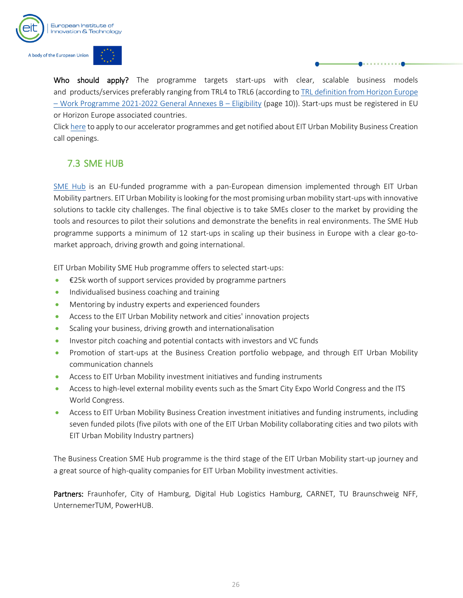

Who should apply? The programme targets start-ups with clear, scalable business models and products/services preferably ranging from TRL4 to TRL6 (according t[o TRL definition from Horizon Europe](https://ec.europa.eu/info/funding-tenders/opportunities/docs/2021-2027/horizon/wp-call/2021-2022/wp-13-general-annexes_horizon-2021-2022_en.pdf)  – [Work Programme 2021-2022 General Annexes B](https://ec.europa.eu/info/funding-tenders/opportunities/docs/2021-2027/horizon/wp-call/2021-2022/wp-13-general-annexes_horizon-2021-2022_en.pdf) – Eligibility (page 10)). Start-ups must be registered in EU or Horizon Europe associated countries.

Clic[k here](https://www.eiturbanmobility.eu/business-creation/accelerator/) to apply to our accelerator programmes and get notified about EIT Urban Mobility Business Creation call openings.

## <span id="page-26-0"></span>7.3 SME HUB

[SME Hub](https://www.eiturbanmobility.eu/business-creation/scalethenglobal/) is an EU-funded programme with a pan-European dimension implemented through EIT Urban Mobility partners. EIT Urban Mobility islooking for the most promising urban mobility start-ups with innovative solutions to tackle city challenges. The final objective is to take SMEs closer to the market by providing the tools and resources to pilot their solutions and demonstrate the benefits in real environments. The SME Hub programme supports a minimum of 12 start-ups in scaling up their business in Europe with a clear go-tomarket approach, driving growth and going international.

EIT Urban Mobility SME Hub programme offers to selected start-ups:

- €25k worth of support services provided by programme partners
- Individualised business coaching and training
- Mentoring by industry experts and experienced founders
- Access to the EIT Urban Mobility network and cities' innovation projects
- Scaling your business, driving growth and internationalisation
- Investor pitch coaching and potential contacts with investors and VC funds
- Promotion of start-ups at the Business Creation portfolio webpage, and through EIT Urban Mobility communication channels
- Access to EIT Urban Mobility investment initiatives and funding instruments
- Access to high-level external mobility events such as the Smart City Expo World Congress and the ITS World Congress.
- Access to EIT Urban Mobility Business Creation investment initiatives and funding instruments, including seven funded pilots (five pilots with one of the EIT Urban Mobility collaborating cities and two pilots with EIT Urban Mobility Industry partners)

The Business Creation SME Hub programme is the third stage of the EIT Urban Mobility start-up journey and a great source of high-quality companies for EIT Urban Mobility investment activities.

Partners: Fraunhofer, City of Hamburg, Digital Hub Logistics Hamburg, CARNET, TU Braunschweig NFF, UnternemerTUM, PowerHUB.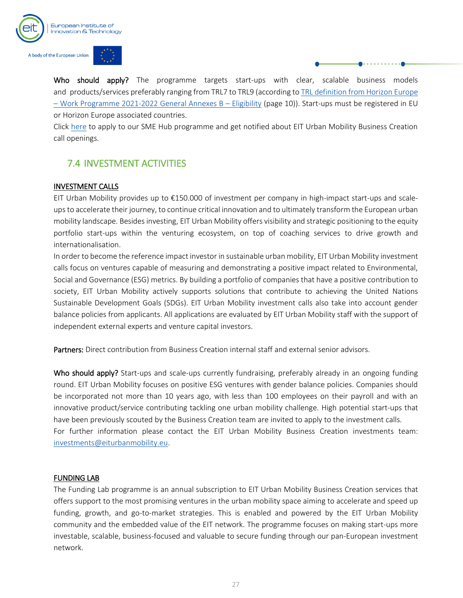

Who should apply? The programme targets start-ups with clear, scalable business models and products/services preferably ranging from TRL7 to TRL9 (according t[o TRL definition from Horizon Europe](https://ec.europa.eu/info/funding-tenders/opportunities/docs/2021-2027/horizon/wp-call/2021-2022/wp-13-general-annexes_horizon-2021-2022_en.pdf)  – [Work Programme 2021-2022 General Annexes B](https://ec.europa.eu/info/funding-tenders/opportunities/docs/2021-2027/horizon/wp-call/2021-2022/wp-13-general-annexes_horizon-2021-2022_en.pdf) – Eligibility (page 10)). Start-ups must be registered in EU or Horizon Europe associated countries.

Click [here](https://www.eiturbanmobility.eu/business-creation/scalethenglobal/) to apply to our SME Hub programme and get notified about EIT Urban Mobility Business Creation call openings.

## <span id="page-27-0"></span>7.4 INVESTMENT ACTIVITIES

## INVESTMENT CALLS

EIT Urban Mobility provides up to €150.000 of investment per company in high-impact start-ups and scaleups to accelerate their journey, to continue critical innovation and to ultimately transform the European urban mobility landscape. Besides investing, EIT Urban Mobility offers visibility and strategic positioning to the equity portfolio start-ups within the venturing ecosystem, on top of coaching services to drive growth and internationalisation.

In order to become the reference impact investor in sustainable urban mobility, EIT Urban Mobility investment calls focus on ventures capable of measuring and demonstrating a positive impact related to Environmental, Social and Governance (ESG) metrics. By building a portfolio of companies that have a positive contribution to society, EIT Urban Mobility actively supports solutions that contribute to achieving the United Nations Sustainable Development Goals (SDGs). EIT Urban Mobility investment calls also take into account gender balance policies from applicants. All applications are evaluated by EIT Urban Mobility staff with the support of independent external experts and venture capital investors.

Partners: Direct contribution from Business Creation internal staff and external senior advisors.

Who should apply? Start-ups and scale-ups currently fundraising, preferably already in an ongoing funding round. EIT Urban Mobility focuses on positive ESG ventures with gender balance policies. Companies should be incorporated not more than 10 years ago, with less than 100 employees on their payroll and with an innovative product/service contributing tackling one urban mobility challenge. High potential start-ups that have been previously scouted by the Business Creation team are invited to apply to the investment calls. For further information please contact the EIT Urban Mobility Business Creation investments team: [investments@eiturbanmobility.eu.](mailto:investments@eiturbanmobility.eu)

## FUNDING LAB

The Funding Lab programme is an annual subscription to EIT Urban Mobility Business Creation services that offers support to the most promising ventures in the urban mobility space aiming to accelerate and speed up funding, growth, and go-to-market strategies. This is enabled and powered by the EIT Urban Mobility community and the embedded value of the EIT network. The programme focuses on making start-ups more investable, scalable, business-focused and valuable to secure funding through our pan-European investment network.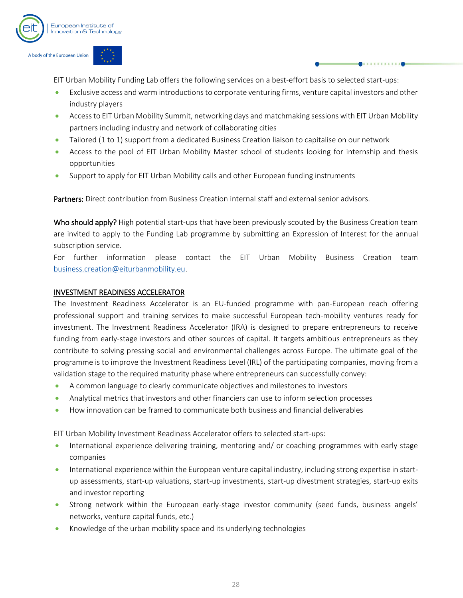

EIT Urban Mobility Funding Lab offers the following services on a best-effort basis to selected start-ups:

- Exclusive access and warm introductions to corporate venturing firms, venture capital investors and other industry players
- Access to EIT Urban Mobility Summit, networking days and matchmaking sessions with EIT Urban Mobility partners including industry and network of collaborating cities
- Tailored (1 to 1) support from a dedicated Business Creation liaison to capitalise on our network
- Access to the pool of EIT Urban Mobility Master school of students looking for internship and thesis opportunities
- Support to apply for EIT Urban Mobility calls and other European funding instruments

Partners: Direct contribution from Business Creation internal staff and external senior advisors.

Who should apply? High potential start-ups that have been previously scouted by the Business Creation team are invited to apply to the Funding Lab programme by submitting an Expression of Interest for the annual subscription service.

For further information please contact the EIT Urban Mobility Business Creation team [business.creation@eiturbanmobility.eu.](mailto:business.creation@eiturbanmobility.eu)

#### INVESTMENT READINESS ACCELERATOR

The Investment Readiness Accelerator is an EU-funded programme with pan-European reach offering professional support and training services to make successful European tech-mobility ventures ready for investment. The Investment Readiness Accelerator (IRA) is designed to prepare entrepreneurs to receive funding from early-stage investors and other sources of capital. It targets ambitious entrepreneurs as they contribute to solving pressing social and environmental challenges across Europe. The ultimate goal of the programme is to improve the Investment Readiness Level (IRL) of the participating companies, moving from a validation stage to the required maturity phase where entrepreneurs can successfully convey:

- A common language to clearly communicate objectives and milestones to investors
- Analytical metrics that investors and other financiers can use to inform selection processes
- How innovation can be framed to communicate both business and financial deliverables

EIT Urban Mobility Investment Readiness Accelerator offers to selected start-ups:

- International experience delivering training, mentoring and/ or coaching programmes with early stage companies
- International experience within the European venture capital industry, including strong expertise in startup assessments, start-up valuations, start-up investments, start-up divestment strategies, start-up exits and investor reporting
- Strong network within the European early-stage investor community (seed funds, business angels' networks, venture capital funds, etc.)
- Knowledge of the urban mobility space and its underlying technologies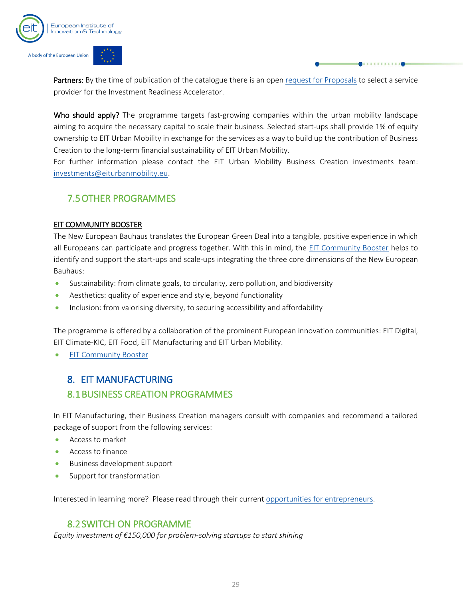

Partners: By the time of publication of the catalogue there is an ope[n request for Proposals](https://www.eiturbanmobility.eu/request-for-proposals-investment-readiness-accelerator/) to select a service provider for the Investment Readiness Accelerator.

Who should apply? The programme targets fast-growing companies within the urban mobility landscape aiming to acquire the necessary capital to scale their business. Selected start-ups shall provide 1% of equity ownership to EIT Urban Mobility in exchange for the services as a way to build up the contribution of Business Creation to the long-term financial sustainability of EIT Urban Mobility.

For further information please contact the EIT Urban Mobility Business Creation investments team: [investments@eiturbanmobility.eu.](mailto:investments@eiturbanmobility.eu)

## <span id="page-29-0"></span>7.5OTHER PROGRAMMES

#### EIT COMMUNITY BOOSTER

The New European Bauhaus translates the European Green Deal into a tangible, positive experience in which all Europeans can participate and progress together. With this in mind, the [EIT Community Booster](https://www.eiturbanmobility.eu/business-creation/new-european-bauhaus-neb/) helps to identify and support the start-ups and scale-ups integrating the three core dimensions of the New European Bauhaus:

- Sustainability: from climate goals, to circularity, zero pollution, and biodiversity
- Aesthetics: quality of experience and style, beyond functionality
- Inclusion: from valorising diversity, to securing accessibility and affordability

The programme is offered by a collaboration of the prominent European innovation communities: EIT Digital, EIT Climate-KIC, EIT Food, EIT Manufacturing and EIT Urban Mobility.

**[EIT Community Booster](https://www.eiturbanmobility.eu/new-european-bauhaus-neb/)** 

## <span id="page-29-1"></span>8. EIT MANUFACTURING

## <span id="page-29-2"></span>8.1BUSINESS CREATION PROGRAMMES

In EIT Manufacturing, their Business Creation managers consult with companies and recommend a tailored package of support from the following services:

- Access to market
- Access to finance
- Business development support
- Support for transformation

Interested in learning more? Please read through their current [opportunities for entrepreneurs.](https://www.eitmanufacturing.eu/what-we-do/business-creation/opportunities/)

## 8.2SWITCH ON PROGRAMME

<span id="page-29-3"></span>*Equity investment of €150,000 for problem-solving startups to start shining*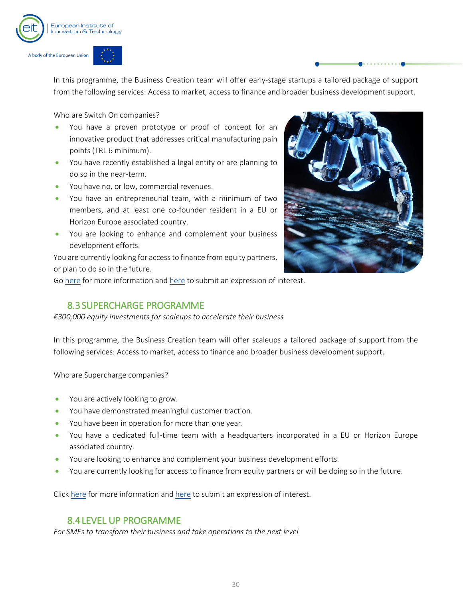

In this programme, the Business Creation team will offer early-stage startups a tailored package of support from the following services: Access to market, access to finance and broader business development support.

Who are Switch On companies?

- You have a proven prototype or proof of concept for an innovative product that addresses critical manufacturing pain points (TRL 6 minimum).
- You have recently established a legal entity or are planning to do so in the near-term.
- You have no, or low, commercial revenues.
- You have an entrepreneurial team, with a minimum of two members, and at least one co-founder resident in a EU or Horizon Europe associated country.
- You are looking to enhance and complement your business development efforts.

You are currently looking for access to finance from equity partners, or plan to do so in the future.



Go [here](https://eitmanufacturing.submittable.com/submit/208221/switch-on-programme-2021) for more information and here to submit an expression of interest.

### 8.3SUPERCHARGE PROGRAMME

<span id="page-30-0"></span>*€300,000 equity investments for scaleups to accelerate their business*

In this programme, the Business Creation team will offer scaleups a tailored package of support from the following services: Access to market, access to finance and broader business development support.

Who are Supercharge companies?

- You are actively looking to grow.
- You have demonstrated meaningful customer traction.
- You have been in operation for more than one year.
- You have a dedicated full-time team with a headquarters incorporated in a EU or Horizon Europe associated country.
- You are looking to enhance and complement your business development efforts.
- You are currently looking for access to finance from equity partners or will be doing so in the future.

Clic[k here](https://www.eitmanufacturing.eu/what-we-do/business-creation/opportunities/for-scaleups/) for more information and [here](https://eitmanufacturing.submittable.com/submit/203405/supercharge-programme-2021) to submit an expression of interest.

## 8.4LEVEL UP PROGRAMME

<span id="page-30-1"></span>*For SMEs to transform their business and take operations to the next level*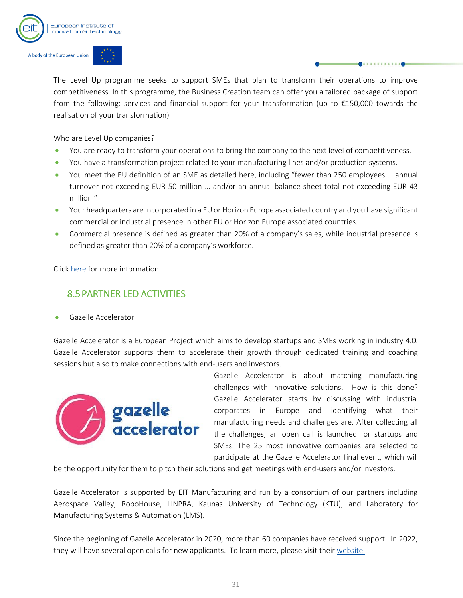

The Level Up programme seeks to support SMEs that plan to transform their operations to improve competitiveness. In this programme, the Business Creation team can offer you a tailored package of support from the following: services and financial support for your transformation (up to €150,000 towards the realisation of your transformation)

Who are Level Up companies?

- You are ready to transform your operations to bring the company to the next level of competitiveness.
- You have a transformation project related to your manufacturing lines and/or production systems.
- You meet the EU definition of an SME as detailed here, including "fewer than 250 employees … annual turnover not exceeding EUR 50 million … and/or an annual balance sheet total not exceeding EUR 43 million."
- Your headquarters are incorporated in a EU or Horizon Europe associated country and you have significant commercial or industrial presence in other EU or Horizon Europe associated countries.
- Commercial presence is defined as greater than 20% of a company's sales, while industrial presence is defined as greater than 20% of a company's workforce.

Clic[k here](https://www.eitmanufacturing.eu/what-we-do/business-creation/opportunities/for-smes/) for more information.

## <span id="page-31-0"></span>8.5PARTNER LED ACTIVITIES

• Gazelle Accelerator

Gazelle Accelerator is a European Project which aims to develop startups and SMEs working in industry 4.0. Gazelle Accelerator supports them to accelerate their growth through dedicated training and coaching sessions but also to make connections with end-users and investors.



Gazelle Accelerator is about matching manufacturing challenges with innovative solutions. How is this done? Gazelle Accelerator starts by discussing with industrial corporates in Europe and identifying what their manufacturing needs and challenges are. After collecting all the challenges, an open call is launched for startups and SMEs. The 25 most innovative companies are selected to participate at the Gazelle Accelerator final event, which will

be the opportunity for them to pitch their solutions and get meetings with end-users and/or investors.

Gazelle Accelerator is supported by EIT Manufacturing and run by a consortium of our partners including Aerospace Valley, RoboHouse, LINPRA, Kaunas University of Technology (KTU), and Laboratory for Manufacturing Systems & Automation (LMS).

Since the beginning of Gazelle Accelerator in 2020, more than 60 companies have received support. In 2022, they will have several open calls for new applicants. To learn more, please visit their website.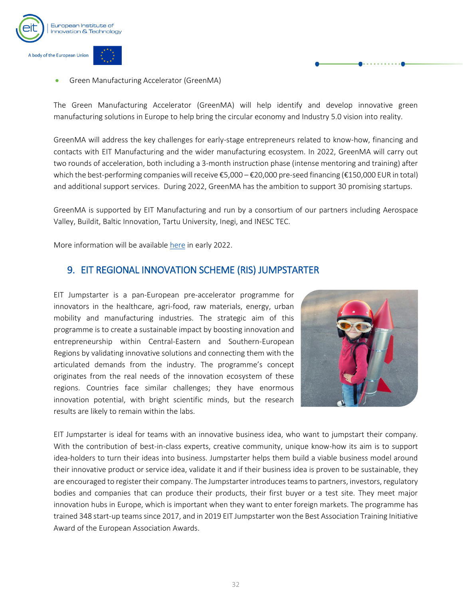

• Green Manufacturing Accelerator (GreenMA)

The Green Manufacturing Accelerator (GreenMA) will help identify and develop innovative green manufacturing solutions in Europe to help bring the circular economy and Industry 5.0 vision into reality.

GreenMA will address the key challenges for early-stage entrepreneurs related to know-how, financing and contacts with EIT Manufacturing and the wider manufacturing ecosystem. In 2022, GreenMA will carry out two rounds of acceleration, both including a 3-month instruction phase (intense mentoring and training) after which the best-performing companies will receive €5,000 – €20,000 pre-seed financing (€150,000 EUR in total) and additional support services. During 2022, GreenMA has the ambition to support 30 promising startups.

GreenMA is supported by EIT Manufacturing and run by a consortium of our partners including Aerospace Valley, Buildit, Baltic Innovation, Tartu University, Inegi, and INESC TEC.

More information will be available [here](https://www.eitmanufacturing.eu/what-we-do/business-creation/opportunities/other-activities/) in early 2022.

### <span id="page-32-0"></span>9. EIT REGIONAL INNOVATION SCHEME (RIS) JUMPSTARTER

EIT Jumpstarter is a pan-European pre-accelerator programme for innovators in the healthcare, agri-food, raw materials, energy, urban mobility and manufacturing industries. The strategic aim of this programme is to create a sustainable impact by boosting innovation and entrepreneurship within Central-Eastern and Southern-European Regions by validating innovative solutions and connecting them with the articulated demands from the industry. The programme's concept originates from the real needs of the innovation ecosystem of these regions. Countries face similar challenges; they have enormous innovation potential, with bright scientific minds, but the research results are likely to remain within the labs.



EIT Jumpstarter is ideal for teams with an innovative business idea, who want to jumpstart their company. With the contribution of best-in-class experts, creative community, unique know-how its aim is to support idea-holders to turn their ideas into business. Jumpstarter helps them build a viable business model around their innovative product or service idea, validate it and if their business idea is proven to be sustainable, they are encouraged to register their company. The Jumpstarter introduces teams to partners, investors, regulatory bodies and companies that can produce their products, their first buyer or a test site. They meet major innovation hubs in Europe, which is important when they want to enter foreign markets. The programme has trained 348 start-up teams since 2017, and in 2019 EIT Jumpstarter won the Best Association Training Initiative Award of the European Association Awards.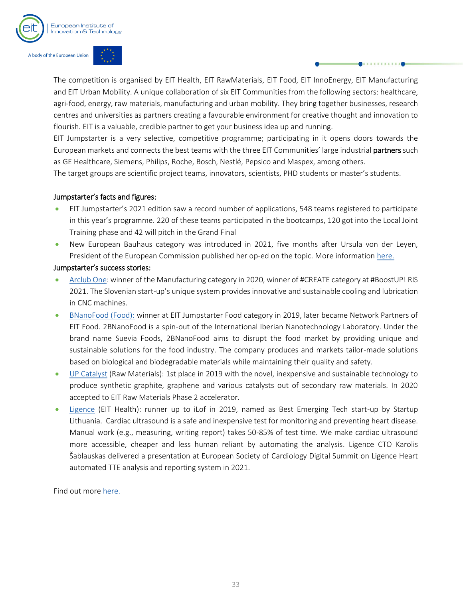

The competition is organised by EIT Health, EIT RawMaterials, EIT Food, EIT InnoEnergy, EIT Manufacturing and EIT Urban Mobility. A unique collaboration of six EIT Communities from the following sectors: healthcare, agri-food, energy, raw materials, manufacturing and urban mobility. They bring together businesses, research centres and universities as partners creating a favourable environment for creative thought and innovation to flourish. EIT is a valuable, credible partner to get your business idea up and running.

EIT Jumpstarter is a very selective, competitive programme; participating in it opens doors towards the European markets and connects the best teams with the three EIT Communities' large industrial partners such as GE Healthcare, Siemens, Philips, Roche, Bosch, Nestlé, Pepsico and Maspex, among others.

The target groups are scientific project teams, innovators, scientists, PHD students or master's students.

#### Jumpstarter's facts and figures:

- EIT Jumpstarter's 2021 edition saw a record number of applications, 548 teams registered to participate in this year's programme. 220 of these teams participated in the bootcamps, 120 got into the Local Joint Training phase and 42 will pitch in the Grand Final
- New European Bauhaus category was introduced in 2021, five months after Ursula von der Leyen, President of the European Commission published her op-ed on the topic. More information [here.](https://eitjumpstarter.eu/eit-jumpstarter-brings-the-new-european-bauhaus-one-step-closer-to-young-europeans/)

#### Jumpstarter's success stories:

- [Arclub One:](https://eitjumpstarter.eu/former-eit-jumpstarter-winner-triumphs-at-manufacturing-days/) winner of the Manufacturing category in 2020, winner of #CREATE category at #BoostUP! RIS 2021. The Slovenian start-up's unique system provides innovative and sustainable cooling and lubrication in CNC machines.
- [BNanoFood \(Food\):](https://eur06.safelinks.protection.outlook.com/?url=https%3A%2F%2Fwww.eitfood.eu%2Fpartners%2Fpartner%2F2bnanofood&data=04%7C01%7CLuke.Incorvaja%40eit.europa.eu%7C67530ef5855f4b31379508d9ad9ef30d%7Cd3092f1488d24a778942296a0d2cc07e%7C0%7C0%7C637731720465913815%7CUnknown%7CTWFpbGZsb3d8eyJWIjoiMC4wLjAwMDAiLCJQIjoiV2luMzIiLCJBTiI6Ik1haWwiLCJXVCI6Mn0%3D%7C3000&sdata=lawa7rvwcbetpkgtE7jFzKPNNVZwreX0Bb68Ty7aTBQ%3D&reserved=0) winner at EIT Jumpstarter Food category in 2019, later became Network Partners of EIT Food. 2BNanoFood is a spin-out of the International Iberian Nanotechnology Laboratory. Under the brand name Suevia Foods, 2BNanoFood aims to disrupt the food market by providing unique and sustainable solutions for the food industry. The company produces and markets tailor-made solutions based on biological and biodegradable materials while maintaining their quality and safety.
- [UP Catalyst](https://eur06.safelinks.protection.outlook.com/?url=https%3A%2F%2Fwww.upcatalyst.com%2Fabout-us%2F&data=04%7C01%7CLuke.Incorvaja%40eit.europa.eu%7C67530ef5855f4b31379508d9ad9ef30d%7Cd3092f1488d24a778942296a0d2cc07e%7C0%7C0%7C637731720465913815%7CUnknown%7CTWFpbGZsb3d8eyJWIjoiMC4wLjAwMDAiLCJQIjoiV2luMzIiLCJBTiI6Ik1haWwiLCJXVCI6Mn0%3D%7C3000&sdata=dzVq7bnBWza%2Fl6RMCtJVHGKtoGu0m1qrqfCzqjkZk7w%3D&reserved=0) (Raw Materials): 1st place in 2019 with the novel, inexpensive and sustainable technology to produce synthetic graphite, graphene and various catalysts out of secondary raw materials. In 2020 accepted to EIT Raw Materials Phase 2 accelerator.
- [Ligence](https://eur06.safelinks.protection.outlook.com/?url=https%3A%2F%2Fwww.linkedin.com%2Fcompany%2Fligence%2Fabout%2F&data=04%7C01%7CLuke.Incorvaja%40eit.europa.eu%7C67530ef5855f4b31379508d9ad9ef30d%7Cd3092f1488d24a778942296a0d2cc07e%7C0%7C0%7C637731720465923770%7CUnknown%7CTWFpbGZsb3d8eyJWIjoiMC4wLjAwMDAiLCJQIjoiV2luMzIiLCJBTiI6Ik1haWwiLCJXVCI6Mn0%3D%7C3000&sdata=%2BGVqjT%2BjOVSnQ6zdv8qkgURipr7v36qHVHF4RNJ%2FNEE%3D&reserved=0) (EIT Health): runner up to iLof in 2019, named as Best Emerging Tech start-up by Startup Lithuania. Cardiac ultrasound is a safe and inexpensive test for monitoring and preventing heart disease. Manual work (e.g., measuring, writing report) takes 50-85% of test time. We make cardiac ultrasound more accessible, cheaper and less human reliant by automating the analysis. Ligence CTO Karolis Šablauskas delivered a presentation at European Society of Cardiology Digital Summit on Ligence Heart automated TTE analysis and reporting system in 2021.

Find out more [here.](https://eitjumpstarter.eu/)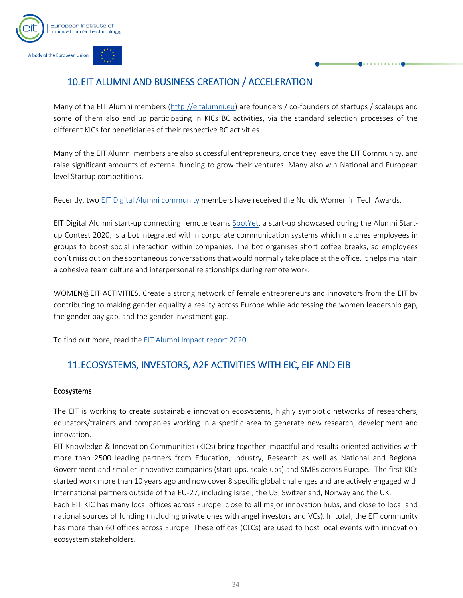

## <span id="page-34-0"></span>10.EIT ALUMNI AND BUSINESS CREATION / ACCELERATION

Many of the EIT Alumni members [\(http://eitalumni.eu\)](http://eitalumni.eu/) are founders / co-founders of startups / scaleups and some of them also end up participating in KICs BC activities, via the standard selection processes of the different KICs for beneficiaries of their respective BC activities.

Many of the EIT Alumni members are also successful entrepreneurs, once they leave the EIT Community, and raise significant amounts of external funding to grow their ventures. Many also win National and European level Startup competitions.

Recently, tw[o EIT Digital Alumni community](https://alumni.eitdigital.eu/article/nordic-women-tech-awards-dora-palfi) members have received the Nordic Women in Tech Awards.

EIT Digital Alumni start-up connecting remote teams [SpotYet,](https://www.spotyet.com/) a start-up showcased during the Alumni Startup Contest 2020, is a bot integrated within corporate communication systems which matches employees in groups to boost social interaction within companies. The bot organises short coffee breaks, so employees don't miss out on the spontaneous conversations that would normally take place at the office. It helps maintain a cohesive team culture and interpersonal relationships during remote work.

WOMEN@EIT ACTIVITIES. Create a strong network of female entrepreneurs and innovators from the EIT by contributing to making gender equality a reality across Europe while addressing the women leadership gap, the gender pay gap, and the gender investment gap.

To find out more, read the [EIT Alumni Impact report 2020.](https://eit.europa.eu/library/eit-alumni-impact-report-2020)

## <span id="page-34-1"></span>11.ECOSYSTEMS, INVESTORS, A2F ACTIVITIES WITH EIC, EIF AND EIB

#### Ecosystems

The EIT is working to create sustainable innovation ecosystems, highly symbiotic networks of researchers, educators/trainers and companies working in a specific area to generate new research, development and innovation.

EIT Knowledge & Innovation Communities (KICs) bring together impactful and results-oriented activities with more than 2500 leading partners from Education, Industry, Research as well as National and Regional Government and smaller innovative companies (start-ups, scale-ups) and SMEs across Europe. The first KICs started work more than 10 years ago and now cover 8 specific global challenges and are actively engaged with International partners outside of the EU-27, including Israel, the US, Switzerland, Norway and the UK.

Each EIT KIC has many local offices across Europe, close to all major innovation hubs, and close to local and national sources of funding (including private ones with angel investors and VCs). In total, the EIT community has more than 60 offices across Europe. These offices (CLCs) are used to host local events with innovation ecosystem stakeholders.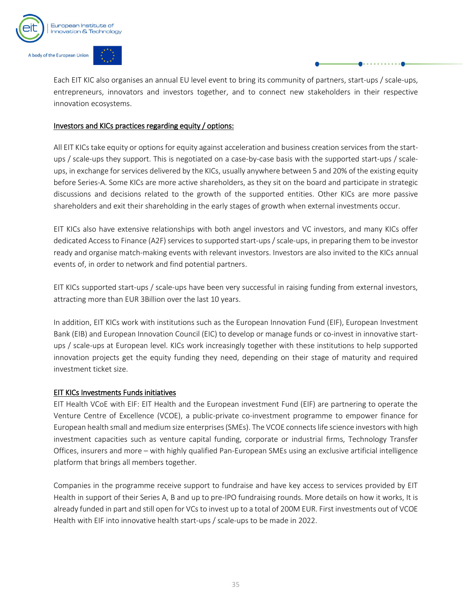

Each EIT KIC also organises an annual EU level event to bring its community of partners, start-ups / scale-ups, entrepreneurs, innovators and investors together, and to connect new stakeholders in their respective innovation ecosystems.

#### Investors and KICs practices regarding equity / options:

All EIT KICs take equity or options for equity against acceleration and business creation services from the startups / scale-ups they support. This is negotiated on a case-by-case basis with the supported start-ups / scaleups, in exchange for services delivered by the KICs, usually anywhere between 5 and 20% of the existing equity before Series-A. Some KICs are more active shareholders, as they sit on the board and participate in strategic discussions and decisions related to the growth of the supported entities. Other KICs are more passive shareholders and exit their shareholding in the early stages of growth when external investments occur.

EIT KICs also have extensive relationships with both angel investors and VC investors, and many KICs offer dedicated Access to Finance (A2F) services to supported start-ups / scale-ups, in preparing them to be investor ready and organise match-making events with relevant investors. Investors are also invited to the KICs annual events of, in order to network and find potential partners.

EIT KICs supported start-ups / scale-ups have been very successful in raising funding from external investors, attracting more than EUR 3Billion over the last 10 years.

In addition, EIT KICs work with institutions such as the European Innovation Fund (EIF), European Investment Bank (EIB) and European Innovation Council (EIC) to develop or manage funds or co-invest in innovative startups / scale-ups at European level. KICs work increasingly together with these institutions to help supported innovation projects get the equity funding they need, depending on their stage of maturity and required investment ticket size.

#### EIT KICs Investments Funds initiatives

EIT Health VCoE with EIF: EIT Health and the European investment Fund (EIF) are partnering to operate the Venture Centre of Excellence (VCOE), a public-private co-investment programme to empower finance for European health small and medium size enterprises (SMEs). The VCOE connects life science investors with high investment capacities such as venture capital funding, corporate or industrial firms, Technology Transfer Offices, insurers and more – with highly qualified Pan-European SMEs using an exclusive artificial intelligence platform that brings all members together.

Companies in the programme receive support to fundraise and have key access to services provided by EIT Health in support of their Series A, B and up to pre-IPO fundraising rounds. More details on how it works, It is already funded in part and still open for VCs to invest up to a total of 200M EUR. First investments out of VCOE Health with EIF into innovative health start-ups / scale-ups to be made in 2022.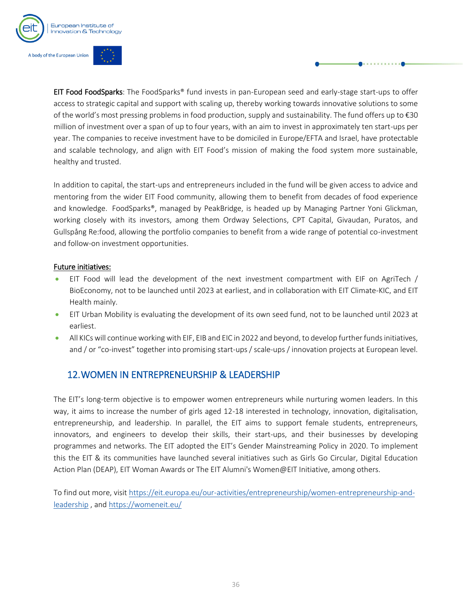

EIT Food FoodSparks: The FoodSparks® fund invests in pan-European seed and early-stage start-ups to offer access to strategic capital and support with scaling up, thereby working towards innovative solutions to some of the world's most pressing problems in food production, supply and sustainability. The fund offers up to €30 million of investment over a span of up to four years, with an aim to invest in approximately ten start-ups per year. The companies to receive investment have to be domiciled in Europe/EFTA and Israel, have protectable and scalable technology, and align with EIT Food's mission of making the food system more sustainable, healthy and trusted.

In addition to capital, the start-ups and entrepreneurs included in the fund will be given access to advice and mentoring from the wider EIT Food community, allowing them to benefit from decades of food experience and knowledge. FoodSparks®, managed by PeakBridge, is headed up by Managing Partner Yoni Glickman, working closely with its investors, among them Ordway Selections, CPT Capital, Givaudan, Puratos, and Gullspång Re:food, allowing the portfolio companies to benefit from a wide range of potential co-investment and follow-on investment opportunities.

#### Future initiatives:

- EIT Food will lead the development of the next investment compartment with EIF on AgriTech / BioEconomy, not to be launched until 2023 at earliest, and in collaboration with EIT Climate-KIC, and EIT Health mainly.
- EIT Urban Mobility is evaluating the development of its own seed fund, not to be launched until 2023 at earliest.
- All KICs will continue working with EIF, EIB and EIC in 2022 and beyond, to develop further funds initiatives, and / or "co-invest" together into promising start-ups / scale-ups / innovation projects at European level.

## 12.WOMEN IN ENTREPRENEURSHIP & LEADERSHIP

The EIT's long-term objective is to empower women entrepreneurs while nurturing women leaders. In this way, it aims to increase the number of girls aged 12-18 interested in technology, innovation, digitalisation, entrepreneurship, and leadership. In parallel, the EIT aims to support female students, entrepreneurs, innovators, and engineers to develop their skills, their start-ups, and their businesses by developing programmes and networks. The EIT adopted the EIT's Gender Mainstreaming Policy in 2020. To implement this the EIT & its communities have launched several initiatives such as Girls Go Circular, Digital Education Action Plan (DEAP), EIT Woman Awards or The EIT Alumni's Women@EIT Initiative, among others.

To find out more, visi[t https://eit.europa.eu/our-activities/entrepreneurship/women-entrepreneurship-and](https://eit.europa.eu/our-activities/entrepreneurship/women-entrepreneurship-and-leadership)[leadership](https://eit.europa.eu/our-activities/entrepreneurship/women-entrepreneurship-and-leadership) , and<https://womeneit.eu/>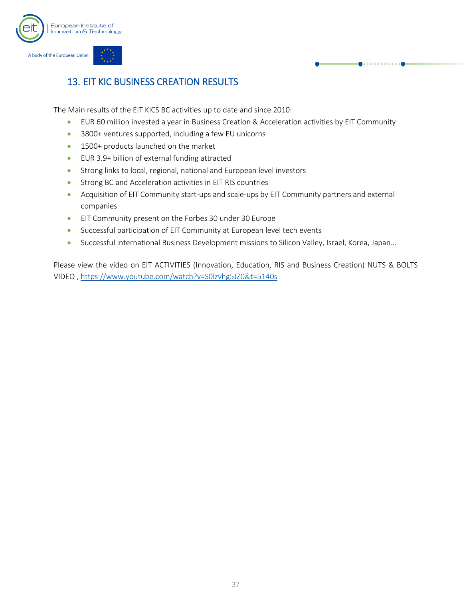

## <span id="page-37-0"></span>13. EIT KIC BUSINESS CREATION RESULTS

The Main results of the EIT KICS BC activities up to date and since 2010:

- EUR 60 million invested a year in Business Creation & Acceleration activities by EIT Community
- 3800+ ventures supported, including a few EU unicorns
- 1500+ products launched on the market
- EUR 3.9+ billion of external funding attracted
- Strong links to local, regional, national and European level investors
- Strong BC and Acceleration activities in EIT RIS countries
- Acquisition of EIT Community start-ups and scale-ups by EIT Community partners and external companies
- EIT Community present on the Forbes 30 under 30 Europe
- Successful participation of EIT Community at European level tech events
- Successful international Business Development missions to Silicon Valley, Israel, Korea, Japan…

Please view the video on EIT ACTIVITIES (Innovation, Education, RIS and Business Creation) NUTS & BOLTS VIDEO [, https://www.youtube.com/watch?v=S0lzvhg5JZ0&t=5140s](https://www.youtube.com/watch?v=S0lzvhg5JZ0&t=5140s)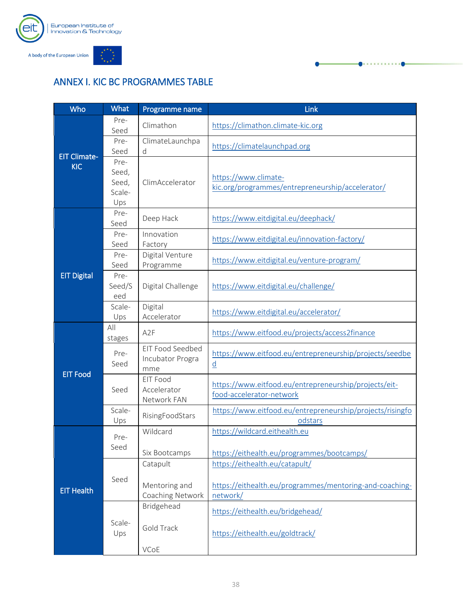

## <span id="page-38-0"></span>ANNEX I. KIC BC PROGRAMMES TABLE

| Who                 | <b>What</b>                             | Programme name                                | Link                                                                                                  |  |  |
|---------------------|-----------------------------------------|-----------------------------------------------|-------------------------------------------------------------------------------------------------------|--|--|
|                     | Pre-<br>Seed                            | Climathon                                     | https://climathon.climate-kic.org                                                                     |  |  |
| <b>EIT Climate-</b> | Pre-<br>Seed                            | ClimateLaunchpa<br>d                          | https://climatelaunchpad.org                                                                          |  |  |
| <b>KIC</b>          | Pre-<br>Seed,<br>Seed,<br>Scale-<br>Ups | ClimAccelerator                               | https://www.climate-<br>kic.org/programmes/entrepreneurship/accelerator/                              |  |  |
|                     | Pre-<br>Seed                            | Deep Hack                                     | https://www.eitdigital.eu/deephack/                                                                   |  |  |
|                     | Pre-<br>Seed                            | Innovation<br>Factory                         | https://www.eitdigital.eu/innovation-factory/                                                         |  |  |
|                     | Pre-<br>Seed                            | Digital Venture<br>Programme                  | https://www.eitdigital.eu/venture-program/                                                            |  |  |
| <b>EIT Digital</b>  | Pre-<br>Seed/S<br>eed                   | Digital Challenge                             | https://www.eitdigital.eu/challenge/                                                                  |  |  |
|                     | Scale-<br>Ups                           | Digital<br>Accelerator                        | https://www.eitdigital.eu/accelerator/                                                                |  |  |
|                     | All<br>stages                           | A <sub>2</sub> F                              | https://www.eitfood.eu/projects/access2finance                                                        |  |  |
| <b>EIT Food</b>     | Pre-<br>Seed                            | EIT Food Seedbed<br>Incubator Progra<br>mme   | https://www.eitfood.eu/entrepreneurship/projects/seedbe<br>$\underline{d}$                            |  |  |
|                     | Seed                                    | EIT Food<br>Accelerator<br>Network FAN        | https://www.eitfood.eu/entrepreneurship/projects/eit-<br>food-accelerator-network                     |  |  |
|                     | Scale-<br>Ups                           | RisingFoodStars                               | https://www.eitfood.eu/entrepreneurship/projects/risingfo<br>odstars                                  |  |  |
|                     | Pre-<br>Seed                            | Wildcard<br>Six Bootcamps                     | https://wildcard.eithealth.eu<br>https://eithealth.eu/programmes/bootcamps/                           |  |  |
| <b>EIT Health</b>   | Seed                                    | Catapult<br>Mentoring and<br>Coaching Network | https://eithealth.eu/catapult/<br>https://eithealth.eu/programmes/mentoring-and-coaching-<br>network/ |  |  |
|                     | Scale-<br>Ups                           | Bridgehead<br>Gold Track<br>VCoE              | https://eithealth.eu/bridgehead/<br>https://eithealth.eu/goldtrack/                                   |  |  |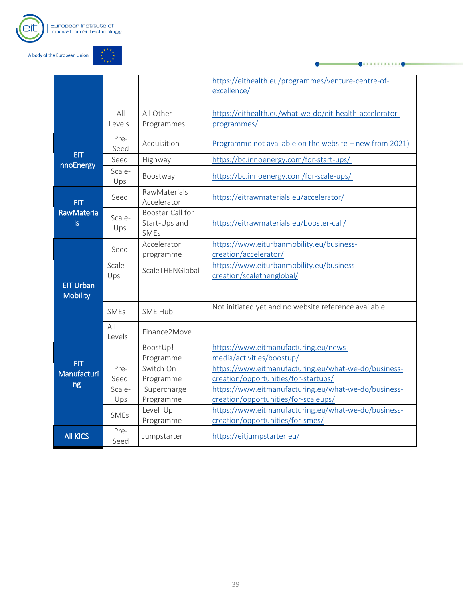



|                                     |               |                                                         | https://eithealth.eu/programmes/venture-centre-of-<br>excellence/                            |
|-------------------------------------|---------------|---------------------------------------------------------|----------------------------------------------------------------------------------------------|
|                                     | All<br>Levels | All Other<br>Programmes                                 | https://eithealth.eu/what-we-do/eit-health-accelerator-<br>programmes/                       |
|                                     | Pre-<br>Seed  | Acquisition                                             | Programme not available on the website - new from 2021)                                      |
| <b>EIT</b><br><b>InnoEnergy</b>     | Seed          | Highway                                                 | https://bc.innoenergy.com/for-start-ups/                                                     |
|                                     | Scale-<br>Ups | Boostway                                                | https://bc.innoenergy.com/for-scale-ups/                                                     |
| <b>EIT</b>                          | Seed          | RawMaterials<br>Accelerator                             | https://eitrawmaterials.eu/accelerator/                                                      |
| <b>RawMateria</b><br> s             | Scale-<br>Ups | <b>Booster Call for</b><br>Start-Ups and<br><b>SMEs</b> | https://eitrawmaterials.eu/booster-call/                                                     |
|                                     | Seed          | Accelerator<br>programme                                | https://www.eiturbanmobility.eu/business-<br>creation/accelerator/                           |
| <b>EIT Urban</b><br><b>Mobility</b> | Scale-<br>Ups | ScaleTHENGlobal                                         | https://www.eiturbanmobility.eu/business-<br>creation/scalethenglobal/                       |
|                                     | <b>SMFs</b>   | SME Hub                                                 | Not initiated yet and no website reference available                                         |
|                                     | All<br>Levels | Finance2Move                                            |                                                                                              |
| <b>EIT</b>                          |               | BoostUp!<br>Programme                                   | https://www.eitmanufacturing.eu/news-<br>media/activities/boostup/                           |
| Manufacturi                         | Pre-<br>Seed  | Switch On<br>Programme                                  | https://www.eitmanufacturing.eu/what-we-do/business-<br>creation/opportunities/for-startups/ |
| ng                                  | Scale-<br>Ups | Supercharge<br>Programme                                | https://www.eitmanufacturing.eu/what-we-do/business-<br>creation/opportunities/for-scaleups/ |
|                                     | <b>SMEs</b>   | Level Up<br>Programme                                   | https://www.eitmanufacturing.eu/what-we-do/business-<br>creation/opportunities/for-smes/     |
| <b>All KICS</b>                     | Pre-<br>Seed  | Jumpstarter                                             | https://eitjumpstarter.eu/                                                                   |

. . . . . . . . . . . . 0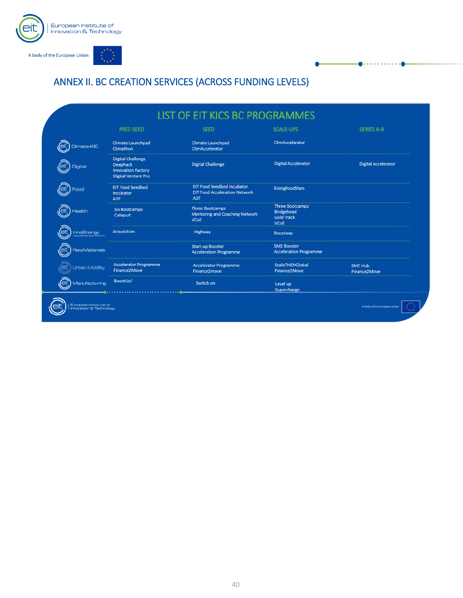

## <span id="page-40-0"></span>ANNEX II. BC CREATION SERVICES (ACROSS FUNDING LEVELS)

|                       | <b>PREE-SEED</b>                                                                                       | <b>SEED</b>                                                                           | <b>SCALE-UPS</b>                                                                | <b>SERIES A-B</b>          |
|-----------------------|--------------------------------------------------------------------------------------------------------|---------------------------------------------------------------------------------------|---------------------------------------------------------------------------------|----------------------------|
| Climate-KIC           | Climate Launchpad<br>Climathon                                                                         | Climate Launchpad<br>ClimAccelerator                                                  | ClimAccelerator                                                                 |                            |
| <b>Digital</b>        | <b>Digital Challenge</b><br><b>Deephack</b><br><b>Innovation Factory</b><br><b>Digital Venture Pro</b> | <b>Digital Challenge</b>                                                              | <b>Digital Accelerator</b>                                                      | <b>Digital Accelerator</b> |
| Food                  | <b>EIT Food Seedbed</b><br>Incubator<br>A <sub>2F</sub>                                                | EIT Food Seedbed Incubator<br><b>EIT Food Acceleration Network</b><br>A <sub>2F</sub> | <b>RisingFoodStars</b>                                                          |                            |
| Health                | <b>Six Bootcamps</b><br>Catapult                                                                       | <b>Three Bootcamps</b><br>Mentoring and Coaching Network<br><b>VCoE</b>               | <b>Three Bootcamps</b><br><b>Bridgehead</b><br><b>Gold Track</b><br><b>VCoE</b> |                            |
| (eit<br>InnoEnergy    | <b>Acquisition</b>                                                                                     | Highway                                                                               | <b>Boostway</b>                                                                 |                            |
| <b>RawMaterials</b>   |                                                                                                        | Start-up Booster<br><b>Acceleration Programme</b>                                     | <b>SME Booster</b><br><b>Acceleration Programme</b>                             |                            |
| <b>Urben Mobility</b> | <b>Accelerator Programme</b><br>Finance2Move                                                           | <b>Accelerator Programme</b><br>Finance2move                                          | ScaleTHENGlobal<br>Finance2Move                                                 | SME Hub<br>Finance2Move    |
| Manufacturing         | BoostUp!                                                                                               | Switch on                                                                             | Level up<br>Supercharge                                                         |                            |

. . . . . . . .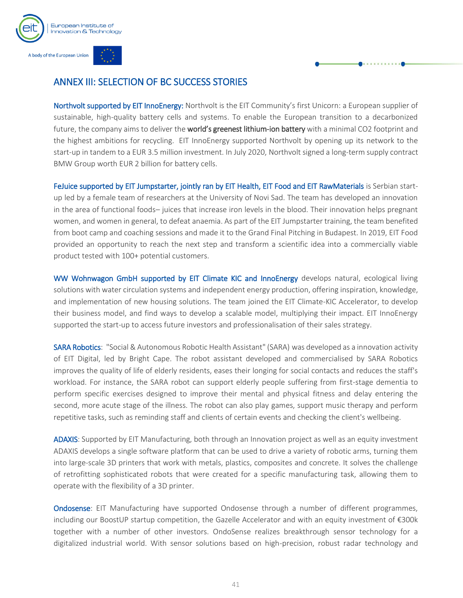

## <span id="page-41-0"></span>ANNEX III: SELECTION OF BC SUCCESS STORIES

Northvolt supported by EIT InnoEnergy: Northvolt is the EIT Community's first Unicorn: a European supplier of sustainable, high-quality battery cells and systems. To enable the European transition to a decarbonized future, the company aims to deliver the world's greenest lithium-ion battery with a minimal CO2 footprint and the highest ambitions for recycling. EIT InnoEnergy supported Northvolt by opening up its network to the start-up in tandem to a EUR 3.5 million investment. In July 2020, Northvolt signed a long-term supply contract BMW Group worth EUR 2 billion for battery cells.

[FeJuice](http://fejuice.eu/) supported by EIT Jumpstarter, jointly ran by EIT Health, EIT Food and EIT RawMaterials is Serbian startup led by a female team of researchers at the University of Novi Sad. The team has developed an innovation in the area of functional foods– juices that increase iron levels in the blood. Their innovation helps pregnant women, and women in general, to defeat anaemia. As part of the EIT Jumpstarter training, the team benefited from boot camp and coaching sessions and made it to the Grand Final Pitching in Budapest. In 2019, EIT Food provided an opportunity to reach the next step and transform a scientific idea into a commercially viable product tested with 100+ potential customers.

WW Wohnwagon GmbH supported by EIT Climate KIC and InnoEnergy develops natural, ecological living solutions with water circulation systems and independent energy production, offering inspiration, knowledge, and implementation of new housing solutions. The team joined the EIT Climate-KIC Accelerator, to develop their business model, and find ways to develop a scalable model, multiplying their impact. EIT InnoEnergy supported the start-up to access future investors and professionalisation of their sales strategy.

[SARA Robotics:](https://eit.europa.eu/news-events/success-stories/sara-robotics) "Social & Autonomous Robotic Health Assistant" (SARA) was developed as a innovation activity of EIT Digital, led by Bright Cape. The robot assistant developed and commercialised by SARA Robotics improves the quality of life of elderly residents, eases their longing for social contacts and reduces the staff's workload. For instance, the SARA robot can support elderly people suffering from first-stage dementia to perform specific exercises designed to improve their mental and physical fitness and delay entering the second, more acute stage of the illness. The robot can also play games, support music therapy and perform repetitive tasks, such as reminding staff and clients of certain events and checking the client's wellbeing.

ADAXIS: Supported by EIT Manufacturing, both through an Innovation project as well as an equity investment ADAXIS develops a single software platform that can be used to drive a variety of robotic arms, turning them into large-scale 3D printers that work with metals, plastics, composites and concrete. It solves the challenge of retrofitting sophisticated robots that were created for a specific manufacturing task, allowing them to operate with the flexibility of a 3D printer.

**Ondosense**: EIT Manufacturing have supported Ondosense through a number of different programmes, including our BoostUP startup competition, the Gazelle Accelerator and with an equity investment of €300k together with a number of other investors. OndoSense realizes breakthrough sensor technology for a digitalized industrial world. With sensor solutions based on high-precision, robust radar technology and